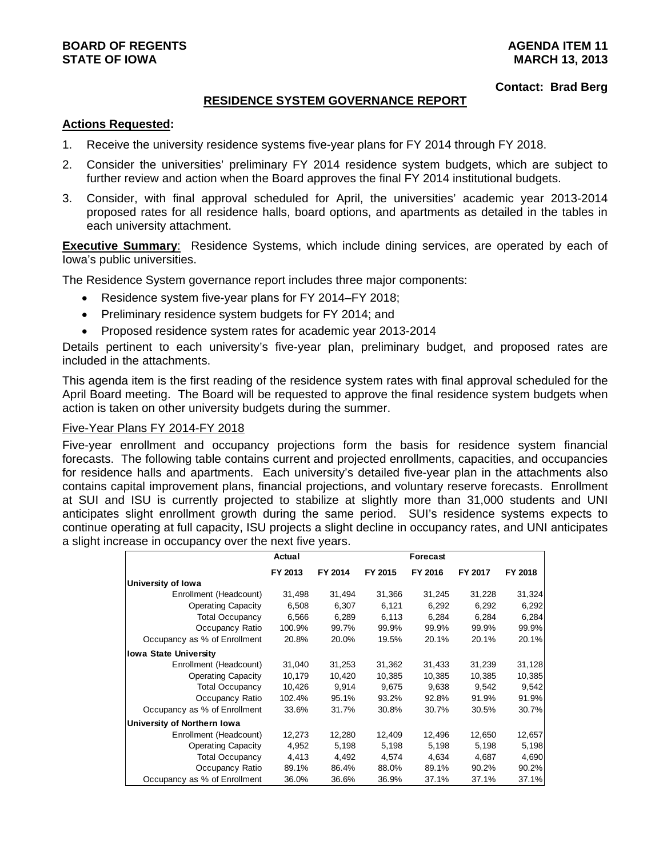#### **Contact: Brad Berg**

### **RESIDENCE SYSTEM GOVERNANCE REPORT**

### **Actions Requested:**

- 1. Receive the university residence systems five-year plans for FY 2014 through FY 2018.
- 2. Consider the universities' preliminary FY 2014 residence system budgets, which are subject to further review and action when the Board approves the final FY 2014 institutional budgets.
- 3. Consider, with final approval scheduled for April, the universities' academic year 2013-2014 proposed rates for all residence halls, board options, and apartments as detailed in the tables in each university attachment.

**Executive Summary**: Residence Systems, which include dining services, are operated by each of Iowa's public universities.

The Residence System governance report includes three major components:

- Residence system five-year plans for FY 2014–FY 2018;
- Preliminary residence system budgets for FY 2014; and
- Proposed residence system rates for academic year 2013-2014

Details pertinent to each university's five-year plan, preliminary budget, and proposed rates are included in the attachments.

This agenda item is the first reading of the residence system rates with final approval scheduled for the April Board meeting. The Board will be requested to approve the final residence system budgets when action is taken on other university budgets during the summer.

### Five-Year Plans FY 2014-FY 2018

Five-year enrollment and occupancy projections form the basis for residence system financial forecasts. The following table contains current and projected enrollments, capacities, and occupancies for residence halls and apartments. Each university's detailed five-year plan in the attachments also contains capital improvement plans, financial projections, and voluntary reserve forecasts. Enrollment at SUI and ISU is currently projected to stabilize at slightly more than 31,000 students and UNI anticipates slight enrollment growth during the same period. SUI's residence systems expects to continue operating at full capacity, ISU projects a slight decline in occupancy rates, and UNI anticipates a slight increase in occupancy over the next five years.

|                              | Actual  |         |         | Forecast |         |         |
|------------------------------|---------|---------|---------|----------|---------|---------|
|                              | FY 2013 | FY 2014 | FY 2015 | FY 2016  | FY 2017 | FY 2018 |
| University of Iowa           |         |         |         |          |         |         |
| Enrollment (Headcount)       | 31,498  | 31,494  | 31,366  | 31,245   | 31,228  | 31,324  |
| <b>Operating Capacity</b>    | 6,508   | 6,307   | 6,121   | 6,292    | 6,292   | 6,292   |
| <b>Total Occupancy</b>       | 6,566   | 6,289   | 6,113   | 6,284    | 6,284   | 6,284   |
| Occupancy Ratio              | 100.9%  | 99.7%   | 99.9%   | 99.9%    | 99.9%   | 99.9%   |
| Occupancy as % of Enrollment | 20.8%   | 20.0%   | 19.5%   | 20.1%    | 20.1%   | 20.1%   |
| <b>Iowa State University</b> |         |         |         |          |         |         |
| Enrollment (Headcount)       | 31,040  | 31,253  | 31,362  | 31,433   | 31,239  | 31,128  |
| <b>Operating Capacity</b>    | 10,179  | 10,420  | 10,385  | 10,385   | 10,385  | 10,385  |
| <b>Total Occupancy</b>       | 10,426  | 9,914   | 9,675   | 9,638    | 9,542   | 9,542   |
| Occupancy Ratio              | 102.4%  | 95.1%   | 93.2%   | 92.8%    | 91.9%   | 91.9%   |
| Occupancy as % of Enrollment | 33.6%   | 31.7%   | 30.8%   | 30.7%    | 30.5%   | 30.7%   |
| University of Northern Iowa  |         |         |         |          |         |         |
| Enrollment (Headcount)       | 12,273  | 12,280  | 12,409  | 12,496   | 12,650  | 12,657  |
| <b>Operating Capacity</b>    | 4,952   | 5,198   | 5,198   | 5,198    | 5,198   | 5,198   |
| <b>Total Occupancy</b>       | 4,413   | 4,492   | 4,574   | 4,634    | 4,687   | 4,690   |
| Occupancy Ratio              | 89.1%   | 86.4%   | 88.0%   | 89.1%    | 90.2%   | 90.2%   |
| Occupancy as % of Enrollment | 36.0%   | 36.6%   | 36.9%   | 37.1%    | 37.1%   | 37.1%   |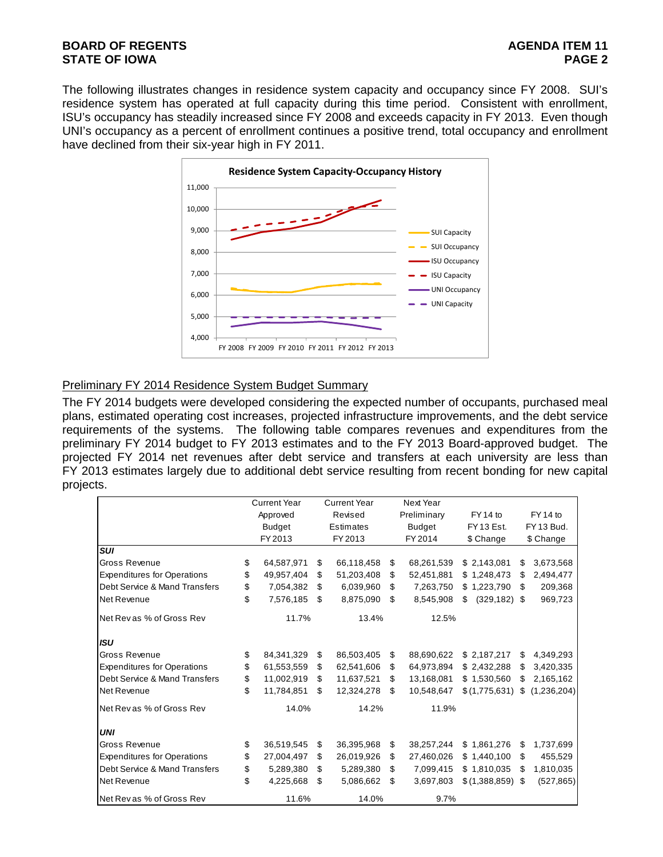### **BOARD OF REGENTS** AGENER AGENER AGENER AGENER AGENER AGENER AGENER AGENER AGENER AGENER AGENER AGENER AGENER AGENER AGENER AGENER AGENER AGENER AGENER AGENER AGENER AGENER AGENER AGENER AGENER AGENER AGENER AGENER AGENER **STATE OF IOWA** PAGE 2

The following illustrates changes in residence system capacity and occupancy since FY 2008. SUI's residence system has operated at full capacity during this time period. Consistent with enrollment, ISU's occupancy has steadily increased since FY 2008 and exceeds capacity in FY 2013. Even though UNI's occupancy as a percent of enrollment continues a positive trend, total occupancy and enrollment have declined from their six-year high in FY 2011.



### Preliminary FY 2014 Residence System Budget Summary

The FY 2014 budgets were developed considering the expected number of occupants, purchased meal plans, estimated operating cost increases, projected infrastructure improvements, and the debt service requirements of the systems. The following table compares revenues and expenditures from the preliminary FY 2014 budget to FY 2013 estimates and to the FY 2013 Board-approved budget. The projected FY 2014 net revenues after debt service and transfers at each university are less than FY 2013 estimates largely due to additional debt service resulting from recent bonding for new capital projects.

|                                    | <b>Current Year</b> |       | <b>Current Year</b> |    | Next Year     |                   |    |             |
|------------------------------------|---------------------|-------|---------------------|----|---------------|-------------------|----|-------------|
|                                    | Approved            |       | Revised             |    | Preliminary   | FY 14 to          |    | FY 14 to    |
|                                    | <b>Budget</b>       |       | Estimates           |    | <b>Budget</b> | FY13 Est.         |    | FY 13 Bud.  |
|                                    | FY 2013             |       | FY 2013             |    | FY 2014       | \$ Change         |    | \$ Change   |
| <b>SUI</b>                         |                     |       |                     |    |               |                   |    |             |
| Gross Revenue                      | \$<br>64,587,971    | \$    | 66,118,458          | \$ | 68,261,539    | \$2,143,081       | \$ | 3,673,568   |
| <b>Expenditures for Operations</b> | \$<br>49,957,404    | \$    | 51,203,408          | \$ | 52,451,881    | \$1,248,473       | \$ | 2,494,477   |
| Debt Service & Mand Transfers      | \$<br>7,054,382     | \$    | 6,039,960           | \$ | 7,263,750     | \$1,223,790       | \$ | 209,368     |
| Net Revenue                        | \$<br>7,576,185     | \$.   | 8,875,090           | \$ | 8,545,908     | (329, 182)<br>\$. | S. | 969,723     |
| Net Revas % of Gross Rev           | 11.7%               |       | 13.4%               |    | 12.5%         |                   |    |             |
| <b>ISU</b>                         |                     |       |                     |    |               |                   |    |             |
| <b>Gross Revenue</b>               | \$<br>84, 341, 329  | \$    | 86,503,405          | \$ | 88,690,622    | \$2,187,217       | \$ | 4,349,293   |
| <b>Expenditures for Operations</b> | \$<br>61,553,559    | \$    | 62,541,606          | \$ | 64,973,894    | \$2,432,288       | \$ | 3,420,335   |
| Debt Service & Mand Transfers      | \$<br>11,002,919    | \$    | 11,637,521          | \$ | 13,168,081    | \$1,530,560       | \$ | 2,165,162   |
| Net Revenue                        | \$<br>11,784,851    | \$    | 12,324,278          | \$ | 10,548,647    | \$(1,775,631)     | \$ | (1,236,204) |
| Net Revas % of Gross Rev           | 14.0%               |       | 14.2%               |    | 11.9%         |                   |    |             |
| <b>UNI</b>                         |                     |       |                     |    |               |                   |    |             |
| <b>Gross Revenue</b>               | \$<br>36,519,545    | \$    | 36,395,968          | \$ | 38,257,244    | \$1,861,276       | \$ | 1,737,699   |
| <b>Expenditures for Operations</b> | \$<br>27,004,497    | \$    | 26,019,926          | \$ | 27,460,026    | \$1,440,100       | \$ | 455,529     |
| Debt Service & Mand Transfers      | \$<br>5,289,380     | \$    | 5,289,380           | \$ | 7,099,415     | \$1,810,035       | \$ | 1,810,035   |
| Net Revenue                        | \$<br>4,225,668     | \$    | 5,086,662<br>\$     |    | 3,697,803     | \$(1,388,859)     | \$ | (527, 865)  |
| Net Rev as % of Gross Rev          | 11.6%               | 14.0% |                     |    |               | 9.7%              |    |             |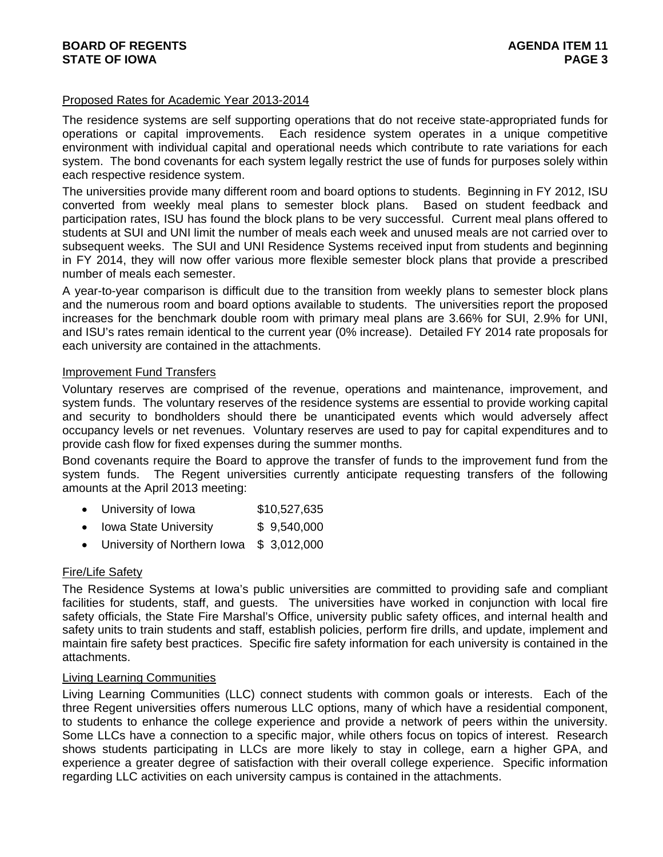### **BOARD OF REGENTS** AGENER AGENER AGENER AGENER AGENER AGENER AGENER AGENER AGENER AGENER AGENER AGENER AGENER AGENER AGENER AGENER AGENER AGENER AGENER AGENER AGENER AGENER AGENER AGENER AGENER AGENER AGENER AGENER AGENER **STATE OF IOWA** PAGE 3

### Proposed Rates for Academic Year 2013-2014

The residence systems are self supporting operations that do not receive state-appropriated funds for operations or capital improvements. Each residence system operates in a unique competitive environment with individual capital and operational needs which contribute to rate variations for each system. The bond covenants for each system legally restrict the use of funds for purposes solely within each respective residence system.

The universities provide many different room and board options to students. Beginning in FY 2012, ISU converted from weekly meal plans to semester block plans. Based on student feedback and participation rates, ISU has found the block plans to be very successful. Current meal plans offered to students at SUI and UNI limit the number of meals each week and unused meals are not carried over to subsequent weeks. The SUI and UNI Residence Systems received input from students and beginning in FY 2014, they will now offer various more flexible semester block plans that provide a prescribed number of meals each semester.

A year-to-year comparison is difficult due to the transition from weekly plans to semester block plans and the numerous room and board options available to students. The universities report the proposed increases for the benchmark double room with primary meal plans are 3.66% for SUI, 2.9% for UNI, and ISU's rates remain identical to the current year (0% increase). Detailed FY 2014 rate proposals for each university are contained in the attachments.

### Improvement Fund Transfers

Voluntary reserves are comprised of the revenue, operations and maintenance, improvement, and system funds. The voluntary reserves of the residence systems are essential to provide working capital and security to bondholders should there be unanticipated events which would adversely affect occupancy levels or net revenues. Voluntary reserves are used to pay for capital expenditures and to provide cash flow for fixed expenses during the summer months.

Bond covenants require the Board to approve the transfer of funds to the improvement fund from the system funds. The Regent universities currently anticipate requesting transfers of the following amounts at the April 2013 meeting:

- University of Iowa \$10,527,635
- Iowa State University \$ 9,540,000
- University of Northern Iowa \$ 3,012,000

### Fire/Life Safety

The Residence Systems at Iowa's public universities are committed to providing safe and compliant facilities for students, staff, and guests. The universities have worked in conjunction with local fire safety officials, the State Fire Marshal's Office, university public safety offices, and internal health and safety units to train students and staff, establish policies, perform fire drills, and update, implement and maintain fire safety best practices. Specific fire safety information for each university is contained in the attachments.

### Living Learning Communities

Living Learning Communities (LLC) connect students with common goals or interests. Each of the three Regent universities offers numerous LLC options, many of which have a residential component, to students to enhance the college experience and provide a network of peers within the university. Some LLCs have a connection to a specific major, while others focus on topics of interest. Research shows students participating in LLCs are more likely to stay in college, earn a higher GPA, and experience a greater degree of satisfaction with their overall college experience. Specific information regarding LLC activities on each university campus is contained in the attachments.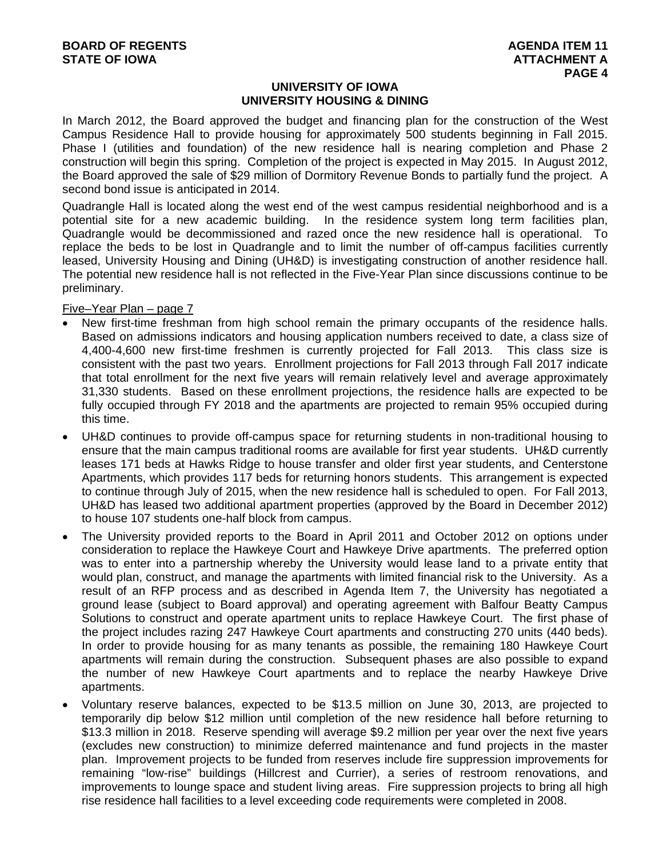### **UNIVERSITY OF IOWA UNIVERSITY HOUSING & DINING**

In March 2012, the Board approved the budget and financing plan for the construction of the West Campus Residence Hall to provide housing for approximately 500 students beginning in Fall 2015. Phase I (utilities and foundation) of the new residence hall is nearing completion and Phase 2 construction will begin this spring. Completion of the project is expected in May 2015. In August 2012, the Board approved the sale of \$29 million of Dormitory Revenue Bonds to partially fund the project. A second bond issue is anticipated in 2014.

Quadrangle Hall is located along the west end of the west campus residential neighborhood and is a potential site for a new academic building. In the residence system long term facilities plan, Quadrangle would be decommissioned and razed once the new residence hall is operational. To replace the beds to be lost in Quadrangle and to limit the number of off-campus facilities currently leased, University Housing and Dining (UH&D) is investigating construction of another residence hall. The potential new residence hall is not reflected in the Five-Year Plan since discussions continue to be preliminary.

Five–Year Plan – page 7

- New first-time freshman from high school remain the primary occupants of the residence halls. Based on admissions indicators and housing application numbers received to date, a class size of 4,400-4,600 new first-time freshmen is currently projected for Fall 2013. This class size is consistent with the past two years. Enrollment projections for Fall 2013 through Fall 2017 indicate that total enrollment for the next five years will remain relatively level and average approximately 31,330 students. Based on these enrollment projections, the residence halls are expected to be fully occupied through FY 2018 and the apartments are projected to remain 95% occupied during this time.
- UH&D continues to provide off-campus space for returning students in non-traditional housing to ensure that the main campus traditional rooms are available for first year students. UH&D currently leases 171 beds at Hawks Ridge to house transfer and older first year students, and Centerstone Apartments, which provides 117 beds for returning honors students. This arrangement is expected to continue through July of 2015, when the new residence hall is scheduled to open. For Fall 2013, UH&D has leased two additional apartment properties (approved by the Board in December 2012) to house 107 students one-half block from campus.
- The University provided reports to the Board in April 2011 and October 2012 on options under consideration to replace the Hawkeye Court and Hawkeye Drive apartments. The preferred option was to enter into a partnership whereby the University would lease land to a private entity that would plan, construct, and manage the apartments with limited financial risk to the University. As a result of an RFP process and as described in Agenda Item 7, the University has negotiated a ground lease (subject to Board approval) and operating agreement with Balfour Beatty Campus Solutions to construct and operate apartment units to replace Hawkeye Court. The first phase of the project includes razing 247 Hawkeye Court apartments and constructing 270 units (440 beds). In order to provide housing for as many tenants as possible, the remaining 180 Hawkeye Court apartments will remain during the construction. Subsequent phases are also possible to expand the number of new Hawkeye Court apartments and to replace the nearby Hawkeye Drive apartments.
- Voluntary reserve balances, expected to be \$13.5 million on June 30, 2013, are projected to temporarily dip below \$12 million until completion of the new residence hall before returning to \$13.3 million in 2018. Reserve spending will average \$9.2 million per year over the next five years (excludes new construction) to minimize deferred maintenance and fund projects in the master plan. Improvement projects to be funded from reserves include fire suppression improvements for remaining "low-rise" buildings (Hillcrest and Currier), a series of restroom renovations, and improvements to lounge space and student living areas. Fire suppression projects to bring all high rise residence hall facilities to a level exceeding code requirements were completed in 2008.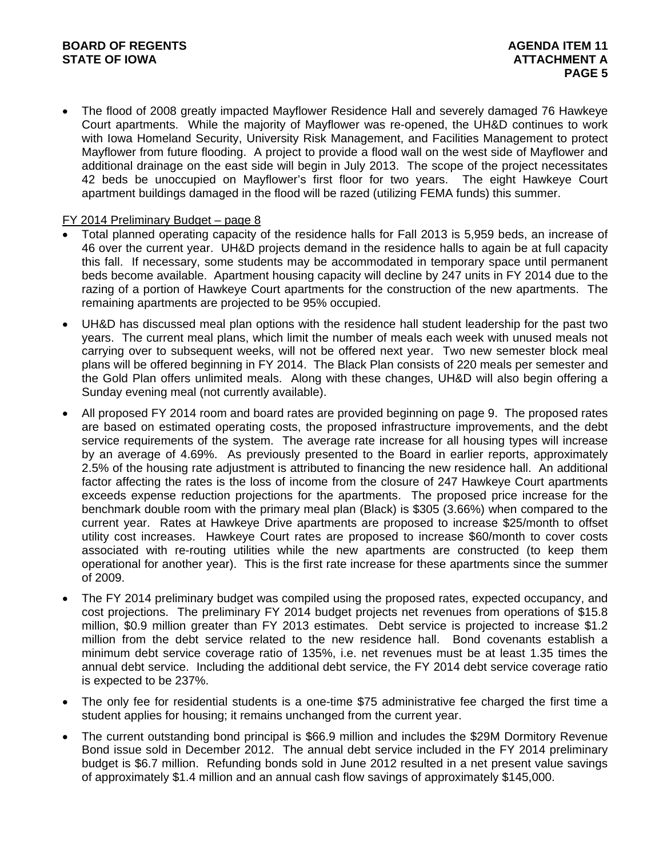The flood of 2008 greatly impacted Mayflower Residence Hall and severely damaged 76 Hawkeye Court apartments. While the majority of Mayflower was re-opened, the UH&D continues to work with Iowa Homeland Security, University Risk Management, and Facilities Management to protect Mayflower from future flooding. A project to provide a flood wall on the west side of Mayflower and additional drainage on the east side will begin in July 2013. The scope of the project necessitates 42 beds be unoccupied on Mayflower's first floor for two years. The eight Hawkeye Court apartment buildings damaged in the flood will be razed (utilizing FEMA funds) this summer.

### FY 2014 Preliminary Budget – page 8

- Total planned operating capacity of the residence halls for Fall 2013 is 5,959 beds, an increase of 46 over the current year. UH&D projects demand in the residence halls to again be at full capacity this fall. If necessary, some students may be accommodated in temporary space until permanent beds become available. Apartment housing capacity will decline by 247 units in FY 2014 due to the razing of a portion of Hawkeye Court apartments for the construction of the new apartments. The remaining apartments are projected to be 95% occupied.
- UH&D has discussed meal plan options with the residence hall student leadership for the past two years. The current meal plans, which limit the number of meals each week with unused meals not carrying over to subsequent weeks, will not be offered next year. Two new semester block meal plans will be offered beginning in FY 2014. The Black Plan consists of 220 meals per semester and the Gold Plan offers unlimited meals. Along with these changes, UH&D will also begin offering a Sunday evening meal (not currently available).
- All proposed FY 2014 room and board rates are provided beginning on page 9. The proposed rates are based on estimated operating costs, the proposed infrastructure improvements, and the debt service requirements of the system. The average rate increase for all housing types will increase by an average of 4.69%. As previously presented to the Board in earlier reports, approximately 2.5% of the housing rate adjustment is attributed to financing the new residence hall. An additional factor affecting the rates is the loss of income from the closure of 247 Hawkeye Court apartments exceeds expense reduction projections for the apartments. The proposed price increase for the benchmark double room with the primary meal plan (Black) is \$305 (3.66%) when compared to the current year. Rates at Hawkeye Drive apartments are proposed to increase \$25/month to offset utility cost increases. Hawkeye Court rates are proposed to increase \$60/month to cover costs associated with re-routing utilities while the new apartments are constructed (to keep them operational for another year). This is the first rate increase for these apartments since the summer of 2009.
- The FY 2014 preliminary budget was compiled using the proposed rates, expected occupancy, and cost projections. The preliminary FY 2014 budget projects net revenues from operations of \$15.8 million, \$0.9 million greater than FY 2013 estimates. Debt service is projected to increase \$1.2 million from the debt service related to the new residence hall. Bond covenants establish a minimum debt service coverage ratio of 135%, i.e. net revenues must be at least 1.35 times the annual debt service. Including the additional debt service, the FY 2014 debt service coverage ratio is expected to be 237%.
- The only fee for residential students is a one-time \$75 administrative fee charged the first time a student applies for housing; it remains unchanged from the current year.
- The current outstanding bond principal is \$66.9 million and includes the \$29M Dormitory Revenue Bond issue sold in December 2012. The annual debt service included in the FY 2014 preliminary budget is \$6.7 million. Refunding bonds sold in June 2012 resulted in a net present value savings of approximately \$1.4 million and an annual cash flow savings of approximately \$145,000.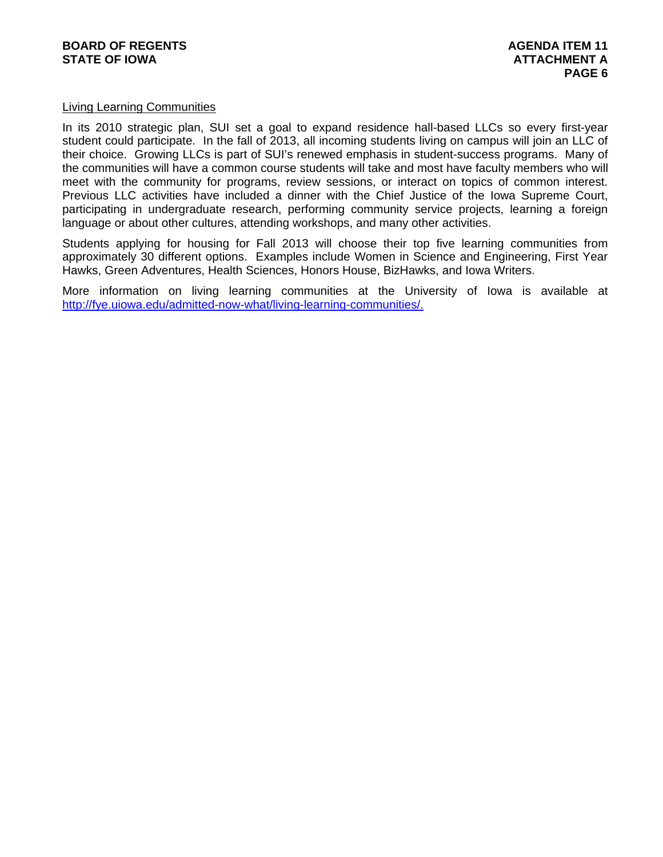### Living Learning Communities

In its 2010 strategic plan, SUI set a goal to expand residence hall-based LLCs so every first-year student could participate. In the fall of 2013, all incoming students living on campus will join an LLC of their choice. Growing LLCs is part of SUI's renewed emphasis in student-success programs. Many of the communities will have a common course students will take and most have faculty members who will meet with the community for programs, review sessions, or interact on topics of common interest. Previous LLC activities have included a dinner with the Chief Justice of the Iowa Supreme Court, participating in undergraduate research, performing community service projects, learning a foreign language or about other cultures, attending workshops, and many other activities.

Students applying for housing for Fall 2013 will choose their top five learning communities from approximately 30 different options. Examples include Women in Science and Engineering, First Year Hawks, Green Adventures, Health Sciences, Honors House, BizHawks, and Iowa Writers.

More information on living learning communities at the University of Iowa is available at http://fye.uiowa.edu/admitted-now-what/living-learning-communities/.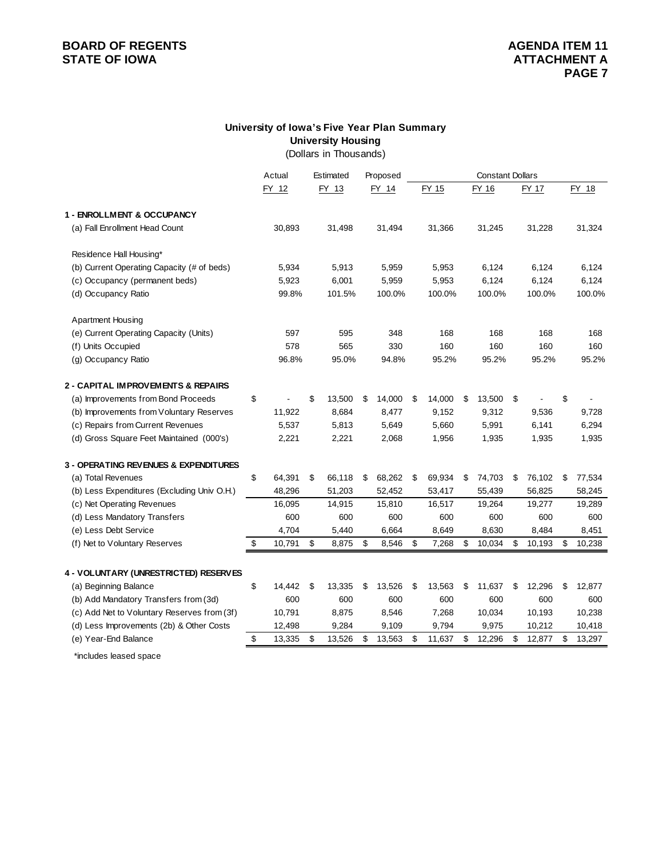# **BOARD OF REGENTS**<br> **BOARD OF REGENTS**<br> **BOARD OF IOWA**<br> **ATTACHMENT A**

### **University of Iowa's Five Year Plan Summary University Housing**

(Dollars in Thousands)

|                                             | Actual       |    | Estimated |              | <b>Constant Dollars</b><br>Proposed |        |    |        |    |        |    |        |  |
|---------------------------------------------|--------------|----|-----------|--------------|-------------------------------------|--------|----|--------|----|--------|----|--------|--|
|                                             | FY 12        |    | FY 13     | FY 14        |                                     | FY 15  |    | FY 16  |    | FY 17  |    | FY 18  |  |
| 1 - ENROLLMENT & OCCUPANCY                  |              |    |           |              |                                     |        |    |        |    |        |    |        |  |
| (a) Fall Enrollment Head Count              | 30,893       |    | 31,498    | 31,494       |                                     | 31,366 |    | 31,245 |    | 31,228 |    | 31,324 |  |
| Residence Hall Housing*                     |              |    |           |              |                                     |        |    |        |    |        |    |        |  |
| (b) Current Operating Capacity (# of beds)  | 5,934        |    | 5,913     | 5,959        |                                     | 5,953  |    | 6,124  |    | 6,124  |    | 6,124  |  |
| (c) Occupancy (permanent beds)              | 5,923        |    | 6,001     | 5,959        |                                     | 5,953  |    | 6,124  |    | 6,124  |    | 6,124  |  |
| (d) Occupancy Ratio                         | 99.8%        |    | 101.5%    | 100.0%       |                                     | 100.0% |    | 100.0% |    | 100.0% |    | 100.0% |  |
| <b>Apartment Housing</b>                    |              |    |           |              |                                     |        |    |        |    |        |    |        |  |
| (e) Current Operating Capacity (Units)      | 597          |    | 595       | 348          |                                     | 168    |    | 168    |    | 168    |    | 168    |  |
| (f) Units Occupied                          | 578          |    | 565       | 330          |                                     | 160    |    | 160    |    | 160    |    | 160    |  |
| (g) Occupancy Ratio                         | 96.8%        |    | 95.0%     | 94.8%        |                                     | 95.2%  |    | 95.2%  |    | 95.2%  |    | 95.2%  |  |
| 2 - CAPITAL IMPROVEMENTS & REPAIRS          |              |    |           |              |                                     |        |    |        |    |        |    |        |  |
| (a) Improvements from Bond Proceeds         | \$           | \$ | 13,500    | \$<br>14,000 | \$                                  | 14,000 | \$ | 13,500 | \$ |        | \$ |        |  |
| (b) Improvements from Voluntary Reserves    | 11,922       |    | 8,684     | 8,477        |                                     | 9,152  |    | 9,312  |    | 9,536  |    | 9,728  |  |
| (c) Repairs from Current Revenues           | 5,537        |    | 5,813     | 5,649        |                                     | 5,660  |    | 5,991  |    | 6,141  |    | 6,294  |  |
| (d) Gross Square Feet Maintained (000's)    | 2,221        |    | 2,221     | 2,068        |                                     | 1,956  |    | 1,935  |    | 1,935  |    | 1,935  |  |
| 3 - OPERATING REVENUES & EXPENDITURES       |              |    |           |              |                                     |        |    |        |    |        |    |        |  |
| (a) Total Revenues                          | \$<br>64,391 | \$ | 66,118    | \$<br>68,262 | \$                                  | 69,934 | \$ | 74,703 | \$ | 76,102 | \$ | 77,534 |  |
| (b) Less Expenditures (Excluding Univ O.H.) | 48,296       |    | 51,203    | 52,452       |                                     | 53,417 |    | 55,439 |    | 56,825 |    | 58,245 |  |
| (c) Net Operating Revenues                  | 16,095       |    | 14,915    | 15,810       |                                     | 16,517 |    | 19,264 |    | 19,277 |    | 19,289 |  |
| (d) Less Mandatory Transfers                | 600          |    | 600       | 600          |                                     | 600    |    | 600    |    | 600    |    | 600    |  |
| (e) Less Debt Service                       | 4,704        |    | 5,440     | 6,664        |                                     | 8,649  |    | 8,630  |    | 8,484  |    | 8,451  |  |
| (f) Net to Voluntary Reserves               | \$<br>10,791 | \$ | 8,875     | \$<br>8,546  | \$                                  | 7,268  | \$ | 10,034 | \$ | 10,193 | \$ | 10,238 |  |
| 4 - VOLUNTARY (UNRESTRICTED) RESERVES       |              |    |           |              |                                     |        |    |        |    |        |    |        |  |
| (a) Beginning Balance                       | \$<br>14,442 | \$ | 13,335    | \$<br>13,526 | \$                                  | 13,563 | \$ | 11,637 | \$ | 12,296 | \$ | 12,877 |  |
| (b) Add Mandatory Transfers from (3d)       | 600          |    | 600       | 600          |                                     | 600    |    | 600    |    | 600    |    | 600    |  |
| (c) Add Net to Voluntary Reserves from (3f) | 10,791       |    | 8,875     | 8,546        |                                     | 7,268  |    | 10,034 |    | 10,193 |    | 10,238 |  |
| (d) Less Improvements (2b) & Other Costs    | 12,498       |    | 9,284     | 9,109        |                                     | 9,794  |    | 9,975  |    | 10,212 |    | 10,418 |  |
| (e) Year-End Balance                        | \$<br>13,335 | \$ | 13,526    | \$<br>13,563 | \$                                  | 11,637 | \$ | 12,296 | \$ | 12,877 | \$ | 13,297 |  |
|                                             |              |    |           |              |                                     |        |    |        |    |        |    |        |  |

\*includes leased space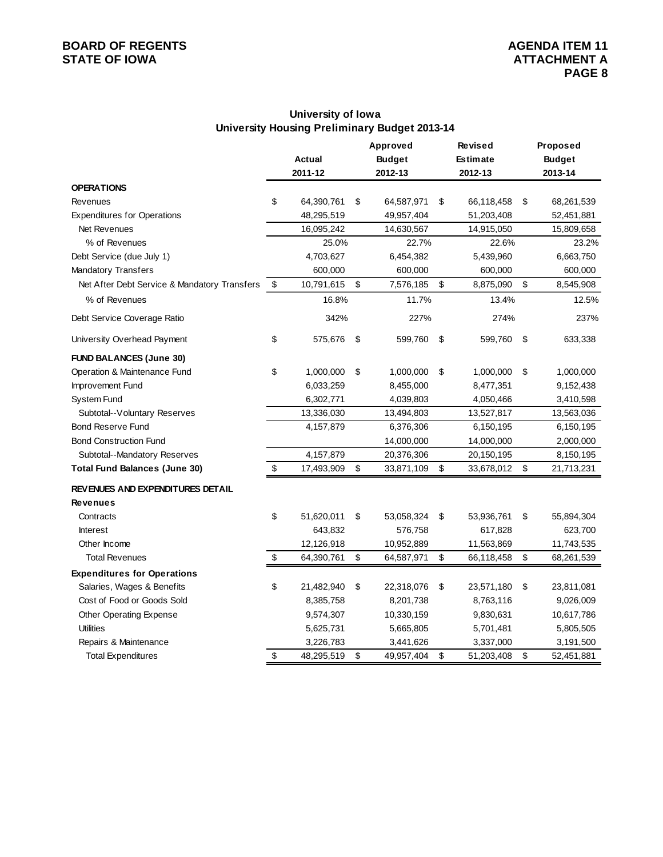# **BOARD OF REGENTS**<br> **BOARD OF REGENTS**<br> **BOARD OF IOWA**<br> **ATTACHMENT A**

### **University of Iowa University Housing Preliminary Budget 2013-14**

|                                              | <b>Actual</b><br>2011-12 |            |    | Approved<br><b>Budget</b> | <b>Revised</b><br><b>Estimate</b> | Proposed<br><b>Budget</b> |  |
|----------------------------------------------|--------------------------|------------|----|---------------------------|-----------------------------------|---------------------------|--|
| <b>OPERATIONS</b>                            |                          |            |    | 2012-13                   | 2012-13                           | 2013-14                   |  |
| Revenues                                     | \$                       | 64,390,761 | \$ | 64,587,971                | \$<br>66,118,458                  | \$<br>68,261,539          |  |
| <b>Expenditures for Operations</b>           |                          | 48,295,519 |    | 49,957,404                | 51,203,408                        | 52,451,881                |  |
| Net Revenues                                 |                          | 16,095,242 |    | 14,630,567                | 14,915,050                        | 15,809,658                |  |
| % of Revenues                                |                          | 25.0%      |    | 22.7%                     | 22.6%                             | 23.2%                     |  |
| Debt Service (due July 1)                    |                          | 4,703,627  |    | 6,454,382                 | 5,439,960                         | 6,663,750                 |  |
| <b>Mandatory Transfers</b>                   |                          | 600,000    |    | 600,000                   | 600,000                           | 600,000                   |  |
| Net After Debt Service & Mandatory Transfers | \$                       | 10,791,615 | \$ | 7,576,185                 | \$<br>8,875,090                   | \$<br>8,545,908           |  |
| % of Revenues                                |                          | 16.8%      |    | 11.7%                     | 13.4%                             | 12.5%                     |  |
| Debt Service Coverage Ratio                  |                          | 342%       |    | 227%                      | 274%                              | 237%                      |  |
| University Overhead Payment                  | \$                       | 575,676    | \$ | 599,760                   | \$<br>599,760                     | \$<br>633,338             |  |
| <b>FUND BALANCES (June 30)</b>               |                          |            |    |                           |                                   |                           |  |
| Operation & Maintenance Fund                 | \$                       | 1,000,000  | \$ | 1,000,000                 | \$<br>1,000,000                   | \$<br>1,000,000           |  |
| Improvement Fund                             |                          | 6,033,259  |    | 8,455,000                 | 8,477,351                         | 9,152,438                 |  |
| System Fund                                  |                          | 6,302,771  |    | 4,039,803                 | 4,050,466                         | 3,410,598                 |  |
| Subtotal--Voluntary Reserves                 |                          | 13,336,030 |    | 13,494,803                | 13,527,817                        | 13,563,036                |  |
| <b>Bond Reserve Fund</b>                     |                          | 4,157,879  |    | 6,376,306                 | 6,150,195                         | 6,150,195                 |  |
| <b>Bond Construction Fund</b>                |                          |            |    | 14,000,000                | 14,000,000                        | 2,000,000                 |  |
| Subtotal--Mandatory Reserves                 |                          | 4,157,879  |    | 20,376,306                | 20,150,195                        | 8,150,195                 |  |
| <b>Total Fund Balances (June 30)</b>         | \$                       | 17,493,909 | \$ | 33,871,109                | \$<br>33,678,012                  | \$<br>21,713,231          |  |
| <b>REVENUES AND EXPENDITURES DETAIL</b>      |                          |            |    |                           |                                   |                           |  |
| <b>Revenues</b>                              |                          |            |    |                           |                                   |                           |  |
| Contracts                                    | \$                       | 51,620,011 | \$ | 53,058,324                | \$<br>53,936,761                  | \$<br>55,894,304          |  |
| <b>Interest</b>                              |                          | 643,832    |    | 576,758                   | 617,828                           | 623,700                   |  |
| Other Income                                 |                          | 12,126,918 |    | 10,952,889                | 11,563,869                        | 11,743,535                |  |
| <b>Total Revenues</b>                        | \$                       | 64,390,761 | \$ | 64,587,971                | \$<br>66,118,458                  | \$<br>68,261,539          |  |
| <b>Expenditures for Operations</b>           |                          |            |    |                           |                                   |                           |  |
| Salaries, Wages & Benefits                   | \$                       | 21,482,940 | \$ | 22,318,076                | \$<br>23,571,180                  | \$<br>23,811,081          |  |
| Cost of Food or Goods Sold                   |                          | 8,385,758  |    | 8,201,738                 | 8,763,116                         | 9,026,009                 |  |
| Other Operating Expense                      |                          | 9,574,307  |    | 10,330,159                | 9,830,631                         | 10,617,786                |  |
| <b>Utilities</b>                             |                          | 5,625,731  |    | 5,665,805                 | 5,701,481                         | 5,805,505                 |  |
| Repairs & Maintenance                        |                          | 3,226,783  |    | 3,441,626                 | 3,337,000                         | 3,191,500                 |  |
| <b>Total Expenditures</b>                    | \$                       | 48,295,519 | \$ | 49,957,404                | \$<br>51,203,408                  | \$<br>52,451,881          |  |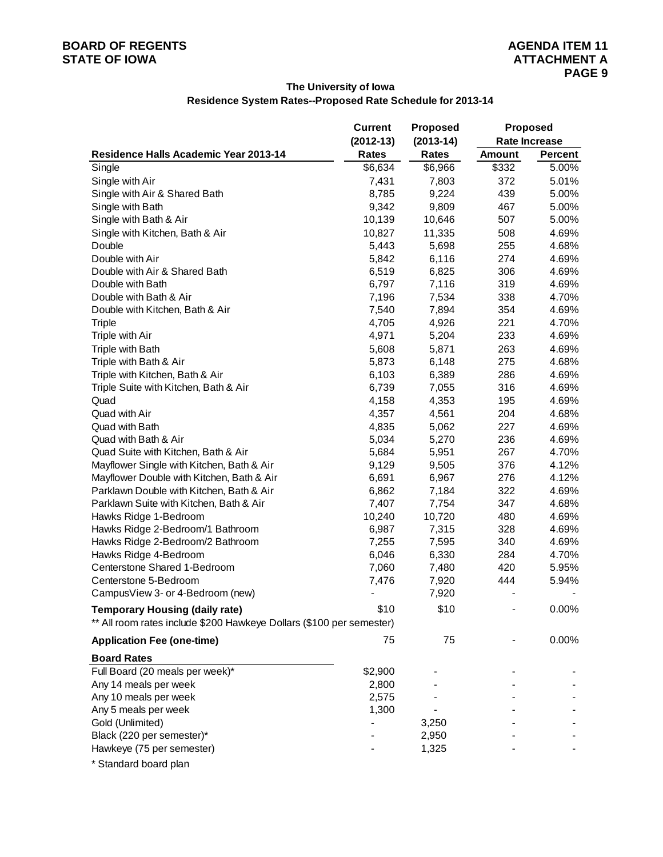### **The University of Iowa Residence System Rates--Proposed Rate Schedule for 2013-14**

|                                                                      | <b>Current</b>               | <b>Proposed</b> | <b>Proposed</b> |                      |  |  |  |
|----------------------------------------------------------------------|------------------------------|-----------------|-----------------|----------------------|--|--|--|
|                                                                      | $(2012-13)$                  | $(2013-14)$     |                 | <b>Rate Increase</b> |  |  |  |
| Residence Halls Academic Year 2013-14                                | Rates                        | <b>Rates</b>    | <b>Amount</b>   | <b>Percent</b>       |  |  |  |
| Single                                                               | \$6,634                      | \$6,966         | \$332           | 5.00%                |  |  |  |
| Single with Air                                                      | 7,431                        | 7,803           | 372             | 5.01%                |  |  |  |
| Single with Air & Shared Bath                                        | 8,785                        | 9,224           | 439             | 5.00%                |  |  |  |
| Single with Bath                                                     | 9,342                        | 9,809           | 467             | 5.00%                |  |  |  |
| Single with Bath & Air                                               | 10,139                       | 10,646          | 507             | 5.00%                |  |  |  |
| Single with Kitchen, Bath & Air                                      | 10,827                       | 11,335          | 508             | 4.69%                |  |  |  |
| Double                                                               | 5,443                        | 5,698           | 255             | 4.68%                |  |  |  |
| Double with Air                                                      | 5,842                        | 6,116           | 274             | 4.69%                |  |  |  |
| Double with Air & Shared Bath                                        | 6,519                        | 6,825           | 306             | 4.69%                |  |  |  |
| Double with Bath                                                     | 6,797                        | 7,116           | 319             | 4.69%                |  |  |  |
| Double with Bath & Air                                               | 7,196                        | 7,534           | 338             | 4.70%                |  |  |  |
| Double with Kitchen, Bath & Air                                      | 7,540                        | 7,894           | 354             | 4.69%                |  |  |  |
| <b>Triple</b>                                                        | 4,705                        | 4,926           | 221             | 4.70%                |  |  |  |
| Triple with Air                                                      | 4,971                        | 5,204           | 233             | 4.69%                |  |  |  |
| Triple with Bath                                                     | 5,608                        | 5,871           | 263             | 4.69%                |  |  |  |
| Triple with Bath & Air                                               | 5,873                        | 6,148           | 275             | 4.68%                |  |  |  |
| Triple with Kitchen, Bath & Air                                      | 6,103                        | 6,389           | 286             | 4.69%                |  |  |  |
| Triple Suite with Kitchen, Bath & Air                                | 6,739                        | 7,055           | 316             | 4.69%                |  |  |  |
| Quad                                                                 | 4,158                        | 4,353           | 195             | 4.69%                |  |  |  |
| Quad with Air                                                        | 4,357                        | 4,561           | 204             | 4.68%                |  |  |  |
| Quad with Bath                                                       | 4,835                        | 5,062           | 227             | 4.69%                |  |  |  |
| Quad with Bath & Air                                                 | 5,034                        | 5,270           | 236             | 4.69%                |  |  |  |
| Quad Suite with Kitchen, Bath & Air                                  | 5,684                        | 5,951           | 267             | 4.70%                |  |  |  |
| Mayflower Single with Kitchen, Bath & Air                            | 9,129                        | 9,505           | 376             | 4.12%                |  |  |  |
| Mayflower Double with Kitchen, Bath & Air                            | 6,691                        | 6,967           | 276             | 4.12%                |  |  |  |
| Parklawn Double with Kitchen, Bath & Air                             | 6,862                        | 7,184           | 322             | 4.69%                |  |  |  |
| Parklawn Suite with Kitchen, Bath & Air                              | 7,407                        | 7,754           | 347             | 4.68%                |  |  |  |
| Hawks Ridge 1-Bedroom                                                | 10,240                       | 10,720          | 480             | 4.69%                |  |  |  |
| Hawks Ridge 2-Bedroom/1 Bathroom                                     | 6,987                        | 7,315           | 328             | 4.69%                |  |  |  |
| Hawks Ridge 2-Bedroom/2 Bathroom                                     | 7,255                        | 7,595           | 340             | 4.69%                |  |  |  |
| Hawks Ridge 4-Bedroom                                                | 6,046                        | 6,330           | 284             | 4.70%                |  |  |  |
| Centerstone Shared 1-Bedroom                                         | 7,060                        | 7,480           | 420             | 5.95%                |  |  |  |
| Centerstone 5-Bedroom                                                | 7,476                        | 7,920           | 444             | 5.94%                |  |  |  |
| CampusView 3- or 4-Bedroom (new)                                     | $\qquad \qquad \blacksquare$ | 7,920           |                 |                      |  |  |  |
| <b>Temporary Housing (daily rate)</b>                                | \$10                         | \$10            |                 | 0.00%                |  |  |  |
| ** All room rates include \$200 Hawkeye Dollars (\$100 per semester) |                              |                 |                 |                      |  |  |  |
| <b>Application Fee (one-time)</b>                                    | 75                           | 75              |                 | 0.00%                |  |  |  |
| <b>Board Rates</b>                                                   |                              |                 |                 |                      |  |  |  |
| Full Board (20 meals per week)*                                      | \$2,900                      |                 |                 |                      |  |  |  |
| Any 14 meals per week                                                | 2,800                        |                 |                 |                      |  |  |  |
| Any 10 meals per week                                                | 2,575                        |                 |                 |                      |  |  |  |
| Any 5 meals per week                                                 | 1,300                        |                 |                 |                      |  |  |  |
| Gold (Unlimited)                                                     |                              | 3,250           |                 |                      |  |  |  |
| Black (220 per semester)*                                            |                              | 2,950           |                 |                      |  |  |  |
| Hawkeye (75 per semester)                                            |                              | 1,325           |                 |                      |  |  |  |
|                                                                      |                              |                 |                 |                      |  |  |  |

\* Standard board plan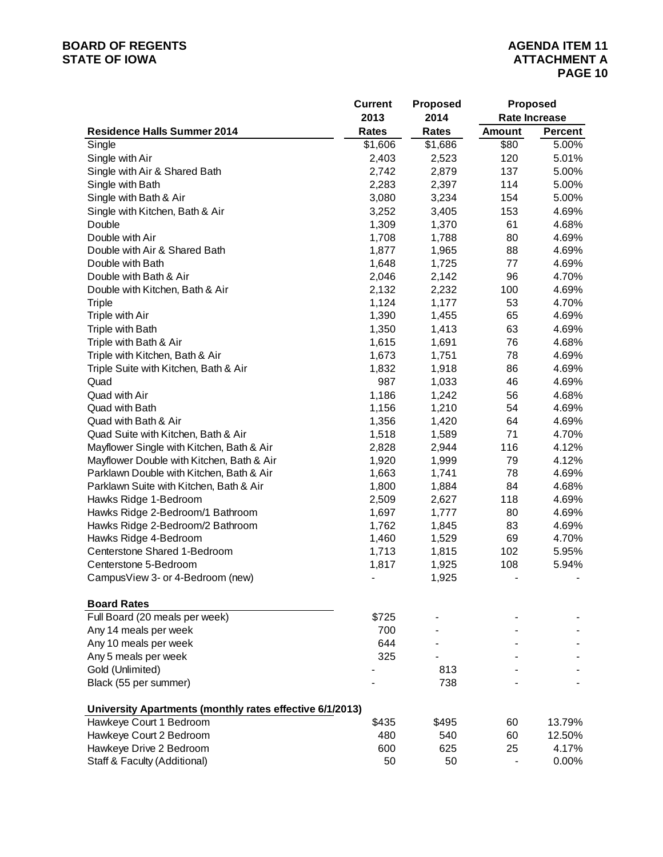### **BOARD OF REGENTS**<br> **BOARD OF REGENTS**<br> **BOARD OF IOWA**<br> **ATTACHMENT A**

|                                                          | <b>Current</b> | <b>Proposed</b> |        | <b>Proposed</b>      |
|----------------------------------------------------------|----------------|-----------------|--------|----------------------|
|                                                          | 2013           | 2014            |        | <b>Rate Increase</b> |
| <b>Residence Halls Summer 2014</b>                       | <b>Rates</b>   | <b>Rates</b>    | Amount | <b>Percent</b>       |
| Single                                                   | \$1,606        | \$1,686         | \$80   | 5.00%                |
| Single with Air                                          | 2,403          | 2,523           | 120    | 5.01%                |
| Single with Air & Shared Bath                            | 2,742          | 2,879           | 137    | 5.00%                |
| Single with Bath                                         | 2,283          | 2,397           | 114    | 5.00%                |
| Single with Bath & Air                                   | 3,080          | 3,234           | 154    | 5.00%                |
| Single with Kitchen, Bath & Air                          | 3,252          | 3,405           | 153    | 4.69%                |
| Double                                                   | 1,309          | 1,370           | 61     | 4.68%                |
| Double with Air                                          | 1,708          | 1,788           | 80     | 4.69%                |
| Double with Air & Shared Bath                            | 1,877          | 1,965           | 88     | 4.69%                |
| Double with Bath                                         | 1,648          | 1,725           | 77     | 4.69%                |
| Double with Bath & Air                                   | 2,046          | 2,142           | 96     | 4.70%                |
| Double with Kitchen, Bath & Air                          | 2,132          | 2,232           | 100    | 4.69%                |
| <b>Triple</b>                                            | 1,124          | 1,177           | 53     | 4.70%                |
| Triple with Air                                          | 1,390          | 1,455           | 65     | 4.69%                |
| Triple with Bath                                         | 1,350          | 1,413           | 63     | 4.69%                |
| Triple with Bath & Air                                   | 1,615          | 1,691           | 76     | 4.68%                |
| Triple with Kitchen, Bath & Air                          | 1,673          | 1,751           | 78     | 4.69%                |
| Triple Suite with Kitchen, Bath & Air                    | 1,832          | 1,918           | 86     | 4.69%                |
| Quad                                                     | 987            | 1,033           | 46     | 4.69%                |
| Quad with Air                                            | 1,186          | 1,242           | 56     | 4.68%                |
| Quad with Bath                                           | 1,156          | 1,210           | 54     | 4.69%                |
| Quad with Bath & Air                                     | 1,356          | 1,420           | 64     | 4.69%                |
| Quad Suite with Kitchen, Bath & Air                      | 1,518          | 1,589           | 71     | 4.70%                |
| Mayflower Single with Kitchen, Bath & Air                | 2,828          | 2,944           | 116    | 4.12%                |
| Mayflower Double with Kitchen, Bath & Air                | 1,920          | 1,999           | 79     | 4.12%                |
| Parklawn Double with Kitchen, Bath & Air                 | 1,663          | 1,741           | 78     | 4.69%                |
| Parklawn Suite with Kitchen, Bath & Air                  | 1,800          | 1,884           | 84     | 4.68%                |
| Hawks Ridge 1-Bedroom                                    | 2,509          | 2,627           | 118    | 4.69%                |
| Hawks Ridge 2-Bedroom/1 Bathroom                         | 1,697          | 1,777           | 80     | 4.69%                |
| Hawks Ridge 2-Bedroom/2 Bathroom                         | 1,762          | 1,845           | 83     | 4.69%                |
| Hawks Ridge 4-Bedroom                                    | 1,460          | 1,529           | 69     | 4.70%                |
| Centerstone Shared 1-Bedroom                             | 1,713          | 1,815           | 102    | 5.95%                |
| Centerstone 5-Bedroom                                    | 1,817          | 1,925           | 108    | 5.94%                |
| CampusView 3- or 4-Bedroom (new)                         |                | 1,925           |        |                      |
|                                                          |                |                 |        |                      |
| <b>Board Rates</b>                                       |                |                 |        |                      |
| Full Board (20 meals per week)                           | \$725          |                 |        |                      |
| Any 14 meals per week                                    | 700            |                 |        |                      |
| Any 10 meals per week                                    | 644            |                 |        |                      |
| Any 5 meals per week                                     | 325            |                 |        |                      |
| Gold (Unlimited)                                         |                | 813             |        |                      |
| Black (55 per summer)                                    |                | 738             |        |                      |
| University Apartments (monthly rates effective 6/1/2013) |                |                 |        |                      |
| Hawkeye Court 1 Bedroom                                  | \$435          | \$495           | 60     | 13.79%               |
| Hawkeye Court 2 Bedroom                                  | 480            | 540             | 60     | 12.50%               |
| Hawkeye Drive 2 Bedroom                                  | 600            | 625             | 25     | 4.17%                |
| Staff & Faculty (Additional)                             | 50             | 50              |        | 0.00%                |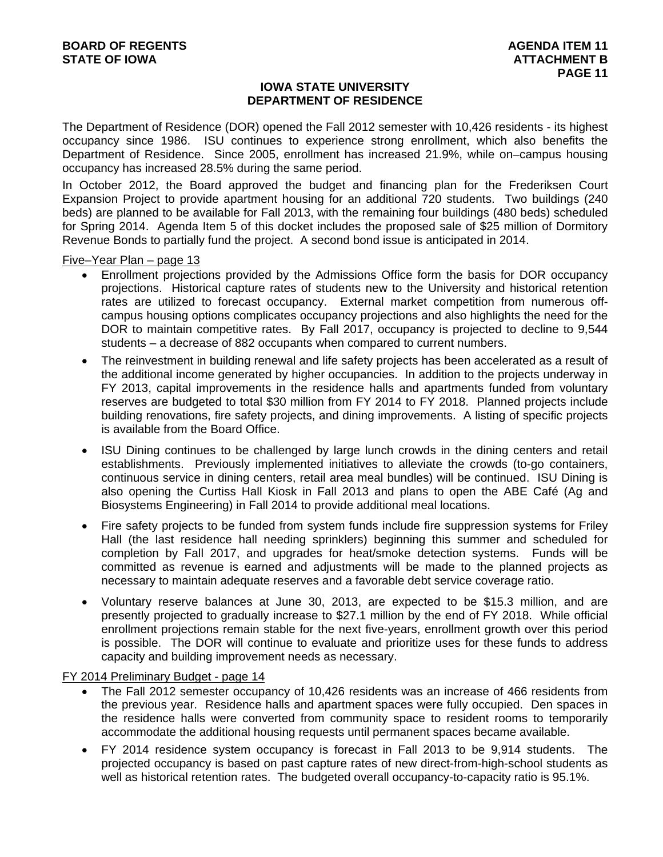### **IOWA STATE UNIVERSITY DEPARTMENT OF RESIDENCE**

The Department of Residence (DOR) opened the Fall 2012 semester with 10,426 residents - its highest occupancy since 1986. ISU continues to experience strong enrollment, which also benefits the Department of Residence. Since 2005, enrollment has increased 21.9%, while on–campus housing occupancy has increased 28.5% during the same period.

In October 2012, the Board approved the budget and financing plan for the Frederiksen Court Expansion Project to provide apartment housing for an additional 720 students. Two buildings (240 beds) are planned to be available for Fall 2013, with the remaining four buildings (480 beds) scheduled for Spring 2014. Agenda Item 5 of this docket includes the proposed sale of \$25 million of Dormitory Revenue Bonds to partially fund the project. A second bond issue is anticipated in 2014.

Five–Year Plan – page 13

- Enrollment projections provided by the Admissions Office form the basis for DOR occupancy projections. Historical capture rates of students new to the University and historical retention rates are utilized to forecast occupancy. External market competition from numerous offcampus housing options complicates occupancy projections and also highlights the need for the DOR to maintain competitive rates. By Fall 2017, occupancy is projected to decline to 9,544 students – a decrease of 882 occupants when compared to current numbers.
- The reinvestment in building renewal and life safety projects has been accelerated as a result of the additional income generated by higher occupancies. In addition to the projects underway in FY 2013, capital improvements in the residence halls and apartments funded from voluntary reserves are budgeted to total \$30 million from FY 2014 to FY 2018. Planned projects include building renovations, fire safety projects, and dining improvements. A listing of specific projects is available from the Board Office.
- ISU Dining continues to be challenged by large lunch crowds in the dining centers and retail establishments. Previously implemented initiatives to alleviate the crowds (to-go containers, continuous service in dining centers, retail area meal bundles) will be continued. ISU Dining is also opening the Curtiss Hall Kiosk in Fall 2013 and plans to open the ABE Café (Ag and Biosystems Engineering) in Fall 2014 to provide additional meal locations.
- Fire safety projects to be funded from system funds include fire suppression systems for Friley Hall (the last residence hall needing sprinklers) beginning this summer and scheduled for completion by Fall 2017, and upgrades for heat/smoke detection systems. Funds will be committed as revenue is earned and adjustments will be made to the planned projects as necessary to maintain adequate reserves and a favorable debt service coverage ratio.
- Voluntary reserve balances at June 30, 2013, are expected to be \$15.3 million, and are presently projected to gradually increase to \$27.1 million by the end of FY 2018. While official enrollment projections remain stable for the next five-years, enrollment growth over this period is possible. The DOR will continue to evaluate and prioritize uses for these funds to address capacity and building improvement needs as necessary.

FY 2014 Preliminary Budget - page 14

- The Fall 2012 semester occupancy of 10,426 residents was an increase of 466 residents from the previous year. Residence halls and apartment spaces were fully occupied. Den spaces in the residence halls were converted from community space to resident rooms to temporarily accommodate the additional housing requests until permanent spaces became available.
- FY 2014 residence system occupancy is forecast in Fall 2013 to be 9,914 students. The projected occupancy is based on past capture rates of new direct-from-high-school students as well as historical retention rates. The budgeted overall occupancy-to-capacity ratio is 95.1%.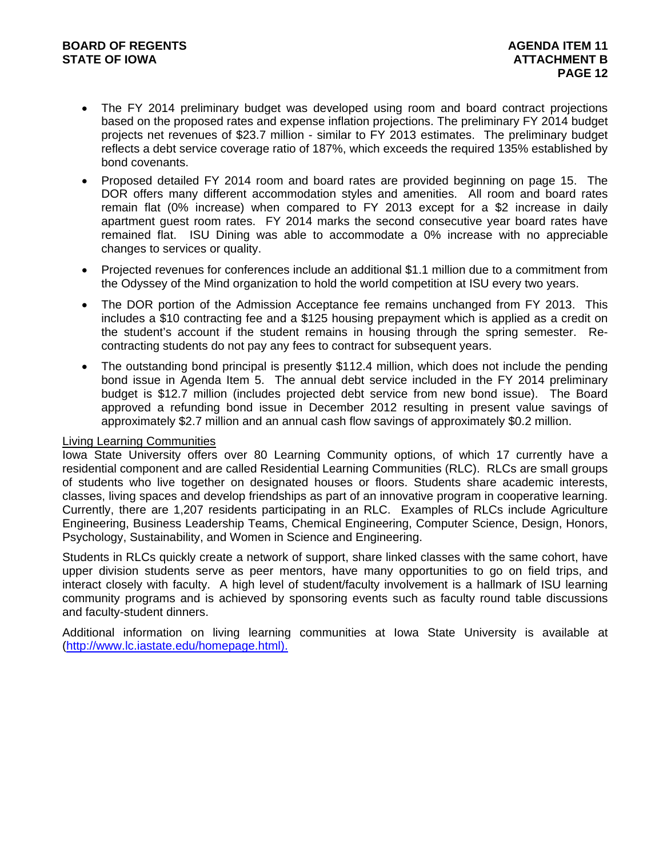- The FY 2014 preliminary budget was developed using room and board contract projections based on the proposed rates and expense inflation projections. The preliminary FY 2014 budget projects net revenues of \$23.7 million - similar to FY 2013 estimates. The preliminary budget reflects a debt service coverage ratio of 187%, which exceeds the required 135% established by bond covenants.
- Proposed detailed FY 2014 room and board rates are provided beginning on page 15. The DOR offers many different accommodation styles and amenities. All room and board rates remain flat (0% increase) when compared to FY 2013 except for a \$2 increase in daily apartment guest room rates. FY 2014 marks the second consecutive year board rates have remained flat. ISU Dining was able to accommodate a 0% increase with no appreciable changes to services or quality.
- Projected revenues for conferences include an additional \$1.1 million due to a commitment from the Odyssey of the Mind organization to hold the world competition at ISU every two years.
- The DOR portion of the Admission Acceptance fee remains unchanged from FY 2013. This includes a \$10 contracting fee and a \$125 housing prepayment which is applied as a credit on the student's account if the student remains in housing through the spring semester. Recontracting students do not pay any fees to contract for subsequent years.
- The outstanding bond principal is presently \$112.4 million, which does not include the pending bond issue in Agenda Item 5. The annual debt service included in the FY 2014 preliminary budget is \$12.7 million (includes projected debt service from new bond issue). The Board approved a refunding bond issue in December 2012 resulting in present value savings of approximately \$2.7 million and an annual cash flow savings of approximately \$0.2 million.

### Living Learning Communities

Iowa State University offers over 80 Learning Community options, of which 17 currently have a residential component and are called Residential Learning Communities (RLC). RLCs are small groups of students who live together on designated houses or floors. Students share academic interests, classes, living spaces and develop friendships as part of an innovative program in cooperative learning. Currently, there are 1,207 residents participating in an RLC. Examples of RLCs include Agriculture Engineering, Business Leadership Teams, Chemical Engineering, Computer Science, Design, Honors, Psychology, Sustainability, and Women in Science and Engineering.

Students in RLCs quickly create a network of support, share linked classes with the same cohort, have upper division students serve as peer mentors, have many opportunities to go on field trips, and interact closely with faculty. A high level of student/faculty involvement is a hallmark of ISU learning community programs and is achieved by sponsoring events such as faculty round table discussions and faculty-student dinners.

Additional information on living learning communities at Iowa State University is available at (http://www.lc.iastate.edu/homepage.html).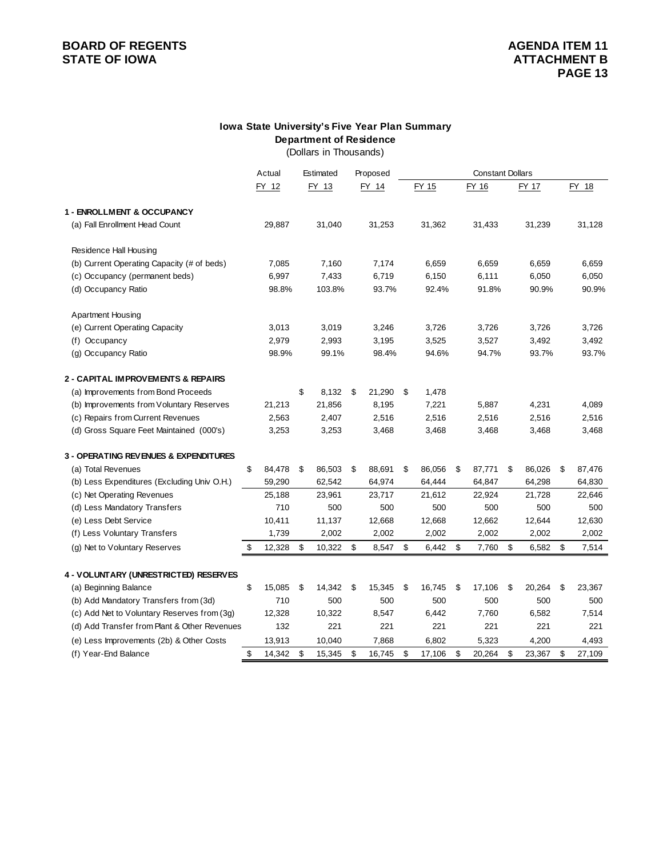# **BOARD OF REGENTS**<br> **BOARD OF REGENTS**<br> **STATE OF IOWA**<br> **BOARD OF REGENTS**

### **Department of Residence Iowa State University's Five Year Plan Summary**

(Dollars in Thousands)

|                                                  | Actual       |     | Estimated | Proposed     |              | <b>Constant Dollars</b> |              |    |        |  |
|--------------------------------------------------|--------------|-----|-----------|--------------|--------------|-------------------------|--------------|----|--------|--|
|                                                  | FY 12        |     | FY 13     | FY 14        | FY 15        | FY 16                   | FY 17        |    | FY 18  |  |
| 1 - ENROLLMENT & OCCUPANCY                       |              |     |           |              |              |                         |              |    |        |  |
| (a) Fall Enrollment Head Count                   | 29,887       |     | 31,040    | 31,253       | 31,362       | 31,433                  | 31,239       |    | 31,128 |  |
| Residence Hall Housing                           |              |     |           |              |              |                         |              |    |        |  |
| (b) Current Operating Capacity (# of beds)       | 7,085        |     | 7,160     | 7,174        | 6,659        | 6.659                   | 6,659        |    | 6,659  |  |
| (c) Occupancy (permanent beds)                   | 6,997        |     | 7,433     | 6,719        | 6,150        | 6,111                   | 6,050        |    | 6,050  |  |
| (d) Occupancy Ratio                              | 98.8%        |     | 103.8%    | 93.7%        | 92.4%        | 91.8%                   | 90.9%        |    | 90.9%  |  |
| <b>Apartment Housing</b>                         |              |     |           |              |              |                         |              |    |        |  |
| (e) Current Operating Capacity                   | 3,013        |     | 3,019     | 3,246        | 3,726        | 3,726                   | 3,726        |    | 3,726  |  |
| (f) Occupancy                                    | 2,979        |     | 2,993     | 3,195        | 3,525        | 3,527                   | 3,492        |    | 3,492  |  |
| (g) Occupancy Ratio                              | 98.9%        |     | 99.1%     | 98.4%        | 94.6%        | 94.7%                   | 93.7%        |    | 93.7%  |  |
| 2 - CAPITAL IMPROVEMENTS & REPAIRS               |              |     |           |              |              |                         |              |    |        |  |
| (a) Improvements from Bond Proceeds              |              | \$  | 8,132     | \$<br>21,290 | \$<br>1,478  |                         |              |    |        |  |
| (b) Improvements from Voluntary Reserves         | 21,213       |     | 21,856    | 8,195        | 7,221        | 5,887                   | 4,231        |    | 4,089  |  |
| (c) Repairs from Current Revenues                | 2,563        |     | 2,407     | 2,516        | 2,516        | 2,516                   | 2,516        |    | 2,516  |  |
| (d) Gross Square Feet Maintained (000's)         | 3,253        |     | 3,253     | 3,468        | 3,468        | 3,468                   | 3,468        |    | 3,468  |  |
| <b>3 - OPERATING REVENUES &amp; EXPENDITURES</b> |              |     |           |              |              |                         |              |    |        |  |
| (a) Total Revenues                               | \$<br>84,478 | -\$ | 86,503    | \$<br>88,691 | \$<br>86,056 | \$<br>87,771            | \$<br>86,026 | \$ | 87,476 |  |
| (b) Less Expenditures (Excluding Univ O.H.)      | 59,290       |     | 62,542    | 64,974       | 64,444       | 64,847                  | 64,298       |    | 64,830 |  |
| (c) Net Operating Revenues                       | 25,188       |     | 23,961    | 23,717       | 21,612       | 22,924                  | 21,728       |    | 22,646 |  |
| (d) Less Mandatory Transfers                     | 710          |     | 500       | 500          | 500          | 500                     | 500          |    | 500    |  |
| (e) Less Debt Service                            | 10,411       |     | 11,137    | 12,668       | 12,668       | 12,662                  | 12,644       |    | 12,630 |  |
| (f) Less Voluntary Transfers                     | 1,739        |     | 2,002     | 2,002        | 2,002        | 2,002                   | 2,002        |    | 2,002  |  |
| (g) Net to Voluntary Reserves                    | \$<br>12,328 | \$  | 10,322    | \$<br>8,547  | \$<br>6,442  | \$<br>7,760             | \$<br>6,582  | \$ | 7,514  |  |
| 4 - VOLUNTARY (UNRESTRICTED) RESERVES            |              |     |           |              |              |                         |              |    |        |  |
| (a) Beginning Balance                            | \$<br>15,085 | \$  | 14,342    | \$<br>15,345 | \$<br>16,745 | \$<br>17,106            | \$<br>20,264 | \$ | 23,367 |  |
| (b) Add Mandatory Transfers from (3d)            | 710          |     | 500       | 500          | 500          | 500                     | 500          |    | 500    |  |
| (c) Add Net to Voluntary Reserves from (3g)      | 12,328       |     | 10,322    | 8,547        | 6,442        | 7,760                   | 6,582        |    | 7,514  |  |
| (d) Add Transfer from Plant & Other Revenues     | 132          |     | 221       | 221          | 221          | 221                     | 221          |    | 221    |  |
| (e) Less Improvements (2b) & Other Costs         | 13,913       |     | 10,040    | 7,868        | 6,802        | 5,323                   | 4,200        |    | 4,493  |  |
| (f) Year-End Balance                             | \$<br>14,342 | \$  | 15,345    | \$<br>16,745 | \$<br>17,106 | \$<br>20,264            | \$<br>23,367 | \$ | 27,109 |  |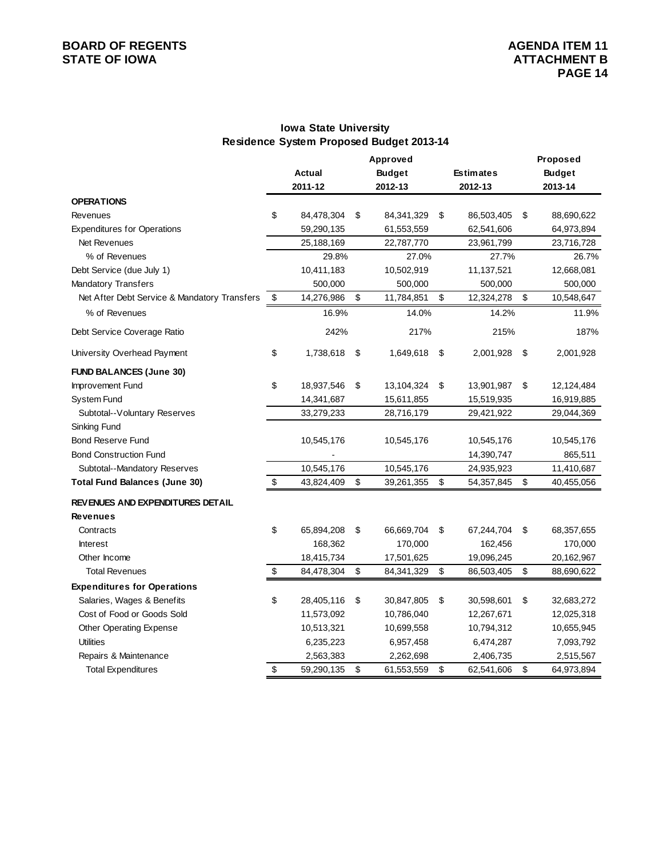# **BOARD OF REGENTS**<br> **BOARD OF REGENTS**<br> **BOARD OF IOWA**<br> **ATTACHMENT B**

### **Iowa State University Residence System Proposed Budget 2013-14**

|                                              |                           |               | Approved         |                  | Proposed         |  |
|----------------------------------------------|---------------------------|---------------|------------------|------------------|------------------|--|
|                                              |                           | <b>Actual</b> | <b>Budget</b>    | <b>Estimates</b> | <b>Budget</b>    |  |
|                                              |                           | 2011-12       | 2012-13          | 2012-13          | 2013-14          |  |
| <b>OPERATIONS</b>                            |                           |               |                  |                  |                  |  |
| Revenues                                     | \$                        | 84,478,304    | \$<br>84,341,329 | \$<br>86,503,405 | \$<br>88,690,622 |  |
| <b>Expenditures for Operations</b>           |                           | 59,290,135    | 61,553,559       | 62,541,606       | 64,973,894       |  |
| Net Revenues                                 |                           | 25,188,169    | 22,787,770       | 23,961,799       | 23,716,728       |  |
| % of Revenues                                |                           | 29.8%         | 27.0%            | 27.7%            | 26.7%            |  |
| Debt Service (due July 1)                    |                           | 10,411,183    | 10,502,919       | 11,137,521       | 12,668,081       |  |
| Mandatory Transfers                          |                           | 500,000       | 500,000          | 500,000          | 500,000          |  |
| Net After Debt Service & Mandatory Transfers | \$                        | 14,276,986    | \$<br>11,784,851 | \$<br>12,324,278 | \$<br>10,548,647 |  |
| % of Revenues                                |                           | 16.9%         | 14.0%            | 14.2%            | 11.9%            |  |
| Debt Service Coverage Ratio                  |                           | 242%          | 217%             | 215%             | 187%             |  |
| University Overhead Payment                  | \$                        | 1,738,618     | \$<br>1,649,618  | \$<br>2,001,928  | \$<br>2,001,928  |  |
| <b>FUND BALANCES (June 30)</b>               |                           |               |                  |                  |                  |  |
| Improvement Fund                             | \$                        | 18,937,546    | \$<br>13,104,324 | \$<br>13,901,987 | \$<br>12,124,484 |  |
| System Fund                                  |                           | 14,341,687    | 15,611,855       | 15,519,935       | 16,919,885       |  |
| Subtotal--Voluntary Reserves                 |                           | 33,279,233    | 28,716,179       | 29,421,922       | 29,044,369       |  |
| Sinking Fund                                 |                           |               |                  |                  |                  |  |
| <b>Bond Reserve Fund</b>                     |                           | 10,545,176    | 10,545,176       | 10,545,176       | 10,545,176       |  |
| <b>Bond Construction Fund</b>                |                           |               |                  | 14,390,747       | 865,511          |  |
| Subtotal--Mandatory Reserves                 |                           | 10,545,176    | 10,545,176       | 24,935,923       | 11,410,687       |  |
| <b>Total Fund Balances (June 30)</b>         | $\boldsymbol{\mathsf{S}}$ | 43,824,409    | \$<br>39,261,355 | \$<br>54,357,845 | \$<br>40,455,056 |  |
| <b>REVENUES AND EXPENDITURES DETAIL</b>      |                           |               |                  |                  |                  |  |
| <b>Revenues</b>                              |                           |               |                  |                  |                  |  |
| Contracts                                    | \$                        | 65,894,208    | \$<br>66,669,704 | \$<br>67,244,704 | \$<br>68,357,655 |  |
| <b>Interest</b>                              |                           | 168,362       | 170,000          | 162,456          | 170,000          |  |
| Other Income                                 |                           | 18,415,734    | 17,501,625       | 19,096,245       | 20,162,967       |  |
| <b>Total Revenues</b>                        | $\boldsymbol{\mathsf{S}}$ | 84,478,304    | \$<br>84,341,329 | \$<br>86,503,405 | \$<br>88,690,622 |  |
| <b>Expenditures for Operations</b>           |                           |               |                  |                  |                  |  |
| Salaries, Wages & Benefits                   | \$                        | 28,405,116    | \$<br>30,847,805 | \$<br>30,598,601 | \$<br>32,683,272 |  |
| Cost of Food or Goods Sold                   |                           | 11,573,092    | 10,786,040       | 12,267,671       | 12,025,318       |  |
| Other Operating Expense                      |                           | 10,513,321    | 10,699,558       | 10,794,312       | 10,655,945       |  |
| <b>Utilities</b>                             |                           | 6,235,223     | 6,957,458        | 6,474,287        | 7,093,792        |  |
| Repairs & Maintenance                        |                           | 2,563,383     | 2,262,698        | 2,406,735        | 2,515,567        |  |
| <b>Total Expenditures</b>                    | \$                        | 59,290,135    | \$<br>61,553,559 | \$<br>62,541,606 | \$<br>64,973,894 |  |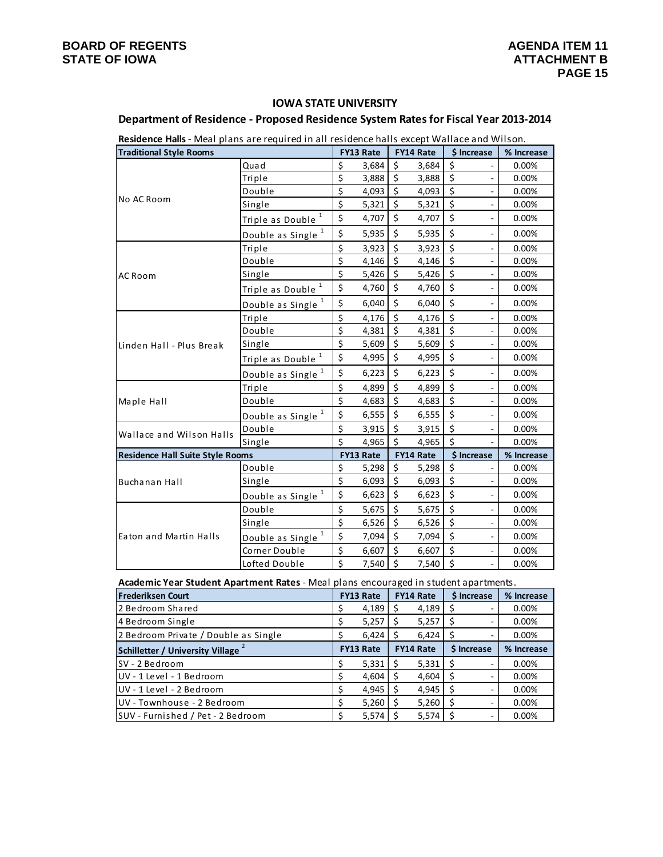### **IOWA STATE UNIVERSITY**

### **Department of Residence ‐ Proposed Residence System Ratesfor Fiscal Year 2013‐2014**

| Residence Halls - Meal plans are required in all residence halls except Wallace and Wilson. |                               |    |           |                  |           |                                |            |
|---------------------------------------------------------------------------------------------|-------------------------------|----|-----------|------------------|-----------|--------------------------------|------------|
| <b>Traditional Style Rooms</b>                                                              |                               |    | FY13 Rate |                  | FY14 Rate | \$ Increase                    | % Increase |
|                                                                                             | Quad                          | \$ | 3,684     | \$               | 3,684     | \$                             | 0.00%      |
|                                                                                             | Triple                        | \$ | 3,888     | \$               | 3,888     | \$<br>$\blacksquare$           | 0.00%      |
|                                                                                             | Double                        | \$ | 4,093     | \$               | 4,093     | \$<br>÷,                       | 0.00%      |
| No AC Room                                                                                  | Single                        | \$ | 5,321     | \$               | 5,321     | \$<br>÷,                       | 0.00%      |
|                                                                                             | 1<br>Triple as Double         | \$ | 4,707     | \$               | 4,707     | \$<br>÷,                       | 0.00%      |
|                                                                                             | Double as Single <sup>1</sup> | \$ | 5,935     | \$               | 5,935     | \$<br>$\overline{\phantom{0}}$ | 0.00%      |
|                                                                                             | Triple                        | \$ | 3,923     | \$               | 3,923     | \$<br>÷,                       | 0.00%      |
|                                                                                             | Double                        | \$ | 4,146     | \$               | 4,146     | $\zeta$<br>$\blacksquare$      | 0.00%      |
| AC Room                                                                                     | Single                        | \$ | 5,426     | \$               | 5,426     | \$<br>÷,                       | 0.00%      |
|                                                                                             | 1<br>Triple as Double         | \$ | 4,760     | \$               | 4,760     | \$<br>÷,                       | 0.00%      |
|                                                                                             | Double as Single <sup>1</sup> | \$ | 6,040     | \$               | 6,040     | \$<br>$\overline{\phantom{0}}$ | 0.00%      |
|                                                                                             | Triple                        | \$ | 4,176     | \$               | 4,176     | \$<br>$\overline{a}$           | 0.00%      |
| Linden Hall - Plus Break                                                                    | Double                        | \$ | 4,381     | \$               | 4,381     | \$<br>$\overline{\phantom{a}}$ | 0.00%      |
|                                                                                             | Single                        | \$ | 5,609     | \$               | 5,609     | \$<br>÷,                       | 0.00%      |
|                                                                                             | Triple as Double <sup>1</sup> | \$ | 4,995     | \$               | 4,995     | \$<br>÷,                       | 0.00%      |
|                                                                                             | Double as Single <sup>1</sup> | \$ | 6,223     | \$               | 6,223     | \$<br>÷,                       | 0.00%      |
|                                                                                             | Triple                        | \$ | 4,899     | \$               | 4,899     | \$<br>÷,                       | 0.00%      |
| Maple Hall                                                                                  | Double                        | \$ | 4,683     | \$               | 4,683     | \$<br>÷,                       | 0.00%      |
|                                                                                             | Double as Single <sup>1</sup> | \$ | 6,555     | \$               | 6,555     | \$<br>$\overline{\phantom{0}}$ | 0.00%      |
| Wallace and Wilson Halls                                                                    | Double                        | \$ | 3,915     | \$               | 3,915     | \$                             | 0.00%      |
|                                                                                             | Single                        | \$ | 4,965     | \$               | 4,965     | \$                             | 0.00%      |
| <b>Residence Hall Suite Style Rooms</b>                                                     |                               |    | FY13 Rate |                  | FY14 Rate | \$ Increase                    | % Increase |
|                                                                                             | Double                        | \$ | 5,298     | \$               | 5,298     | \$                             | 0.00%      |
| Buchanan Hall                                                                               | Single                        | \$ | 6,093     | \$               | 6,093     | \$<br>$\blacksquare$           | 0.00%      |
|                                                                                             | Double as Single <sup>1</sup> | \$ | 6,623     | \$               | 6,623     | \$<br>÷,                       | 0.00%      |
|                                                                                             | Double                        | \$ | 5,675     | \$               | 5,675     | \$<br>÷,                       | 0.00%      |
|                                                                                             | Single                        | \$ | 6,526     | $\overline{\xi}$ | 6,526     | \$<br>÷,                       | 0.00%      |
| Eaton and Martin Halls                                                                      | Double as Single <sup>1</sup> |    | 7,094     | \$               | 7,094     | \$<br>$\frac{1}{2}$            | 0.00%      |
|                                                                                             | Corner Double                 | \$ | 6,607     | \$               | 6,607     | \$                             | 0.00%      |
|                                                                                             | Lofted Double                 | \$ | 7,540     | $\zeta$          | 7,540     | \$                             | 0.00%      |

**Academic Year Student Apartment Rates** ‐ Meal plans encouraged in student apartments.

| <b>Frederiksen Court</b>                | <b>FY13 Rate</b> |                  | <b>FY14 Rate</b> | \$ Increase | % Increase |
|-----------------------------------------|------------------|------------------|------------------|-------------|------------|
| 2 Bedroom Shared                        |                  | 4,189            | 4,189            |             | 0.00%      |
| 4 Bedroom Single                        | \$               | 5,257            | 5,257            |             | 0.00%      |
| 2 Bedroom Private / Double as Single    |                  | 6,424            | 6,424            |             | 0.00%      |
| <b>Schilletter / University Village</b> |                  | <b>FY13 Rate</b> | <b>FY14 Rate</b> | \$ Increase | % Increase |
| SV - 2 Bedroom                          | S                | 5,331            | 5,331            |             | 0.00%      |
| UV - 1 Level - 1 Bedroom                |                  | 4,604            | 4,604            |             | 0.00%      |
| UV - 1 Level - 2 Bedroom                |                  | 4,945            | 4,945            |             | 0.00%      |
| UV - Townhouse - 2 Bedroom              |                  | 5,260            | 5,260            |             | 0.00%      |
| SUV - Furnished / Pet - 2 Bedroom       | \$               | 5,574            | 5,574            |             | 0.00%      |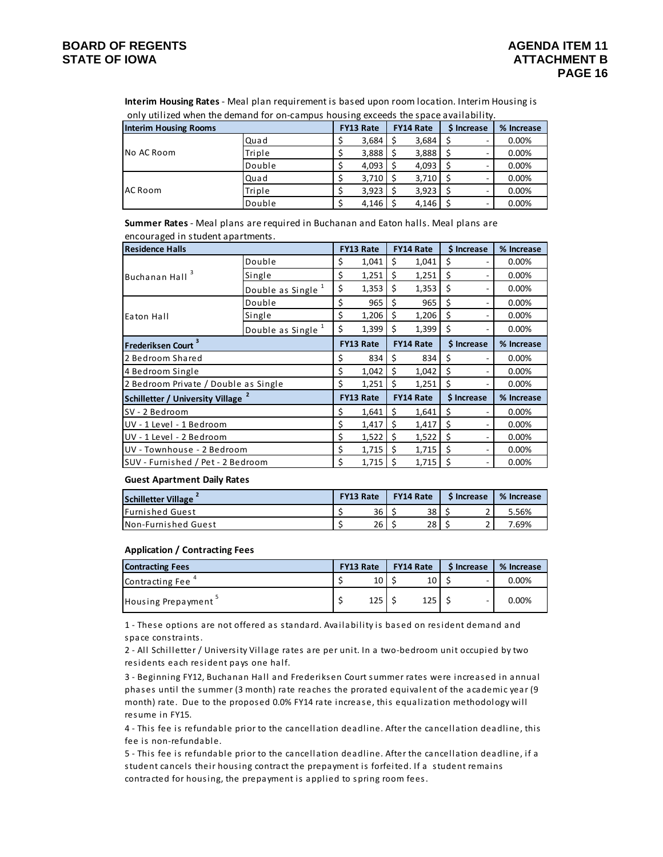only utilized when the demand for on‐campus housing exceeds the space availability. **Interim Housing Rates** ‐ Meal plan requirement is based upon room location. Interim Housing is

| <b>Interim Housing Rooms</b> |        |  | <b>FY13 Rate</b> | <b>FY14 Rate</b> | \$ Increase |   | % Increase |
|------------------------------|--------|--|------------------|------------------|-------------|---|------------|
|                              | Quad   |  | 3,684            | 3,684            |             |   | 0.00%      |
| INo AC Room                  | Triple |  | 3,888            | 3,888            |             |   | 0.00%      |
|                              | Double |  | 4,093            | 4,093            |             |   | 0.00%      |
|                              | Quad   |  | 3,710            | 3,710            |             | - | 0.00%      |
| AC Room                      | Triple |  | 3.923            | 3,923            |             |   | 0.00%      |
|                              | Double |  | 4,146            | 4,146            |             |   | 0.00%      |

encouraged in student apartments. **Summer Rates** ‐ Meal plans are required in Buchanan and Eaton halls. Meal plans are

| <b>Residence Halls</b>                  |                  | <b>FY13 Rate</b> |    | <b>FY14 Rate</b> | \$ Increase | % Increase |
|-----------------------------------------|------------------|------------------|----|------------------|-------------|------------|
|                                         | Double           | \$<br>1,041      | Ś. | 1,041            | Ś           | 0.00%      |
| Buchanan Hall <sup>3</sup>              | Single           | \$<br>1,251      | \$ | 1,251            | \$<br>۰     | 0.00%      |
|                                         | Double as Single | \$<br>1,353      | \$ | 1,353            | \$<br>۰     | 0.00%      |
|                                         | Double           | \$<br>965        | \$ | 965              | \$<br>٠     | 0.00%      |
| Eaton Hall                              | Single           | \$<br>1,206      | \$ | 1,206            | \$<br>۰     | 0.00%      |
| Double as Single                        |                  | \$<br>1,399      | \$ | 1,399            | \$<br>۰     | 0.00%      |
| <b>Frederiksen Court</b>                |                  | <b>FY13 Rate</b> |    | <b>FY14 Rate</b> | \$ Increase | % Increase |
| 2 Bedroom Shared                        |                  | \$<br>834        | \$ | 834              | \$<br>۰     | 0.00%      |
| 4 Bedroom Single                        |                  | \$<br>1,042      | \$ | 1,042            | \$<br>٠     | 0.00%      |
| 2 Bedroom Private / Double as Single    |                  | \$<br>1,251      | Ś  | 1,251            | Ś           | 0.00%      |
| <b>Schilletter / University Village</b> |                  | <b>FY13 Rate</b> |    | <b>FY14 Rate</b> | \$ Increase | % Increase |
| SV - 2 Bedroom                          |                  | \$<br>1,641      | \$ | 1,641            | \$<br>۰     | 0.00%      |
| UV - 1 Level - 1 Bedroom                |                  | \$<br>1,417      | \$ | 1,417            | \$<br>۰     | 0.00%      |
| UV - 1 Level - 2 Bedroom                |                  | \$<br>1,522      | \$ | 1,522            | \$<br>۰     | 0.00%      |
| UV - Townhouse - 2 Bedroom              |                  | \$<br>1,715      | \$ | 1,715            | \$<br>۰     | 0.00%      |
| SUV - Furnished / Pet - 2 Bedroom       |                  | \$<br>1,715      | \$ | 1,715            | Ś           | 0.00%      |

#### **Guest Apartment Daily Rates**

| <b>Schilletter Village</b>  | <b>FY13 Rate</b> | <b>FY14 Rate</b> | <b>S</b> Increase | % Increase |
|-----------------------------|------------------|------------------|-------------------|------------|
| <b>IFurnished Guest</b>     | 36               | 38               |                   | 5.56%      |
| <b>INon-Furnished Guest</b> | 26               | 28               |                   | 7.69%      |

#### **Application / Contracting Fees**

| <b>Contracting Fees</b> | <b>FY13 Rate</b> | <b>FY14 Rate</b> | \$ Increase | % Increase |
|-------------------------|------------------|------------------|-------------|------------|
| Contracting Fee         | 10 I             | 10               |             | 0.00%      |
| Housing Prepayment      | 125              | 125              | -           | 0.00%      |

1 - These options are not offered as standard. Availability is based on resident demand and space constraints.

2 - All Schilletter / University Village rates are per unit. In a two-bedroom unit occupied by two residents each resident pays one half.

3 ‐ Beginning FY12, Buchana n Hall and Frederiksen Court summer ra tes were i ncrea sed i n annual phases until the summer (3 month) rate reaches the prorated equivalent of the academic year (9 month) rate. Due to the proposed 0.0% FY14 rate increase, this equalization methodology will res ume in FY15.

4 - This fee is refundable prior to the cancellation deadline. After the cancellation deadline, this fee is non-refundable.

5 - This fee is refundable prior to the cancellation deadline. After the cancellation deadline, if a student cancels their housing contract the prepayment is forfeited. If a student remains contracted for housing, the prepayment is applied to spring room fees.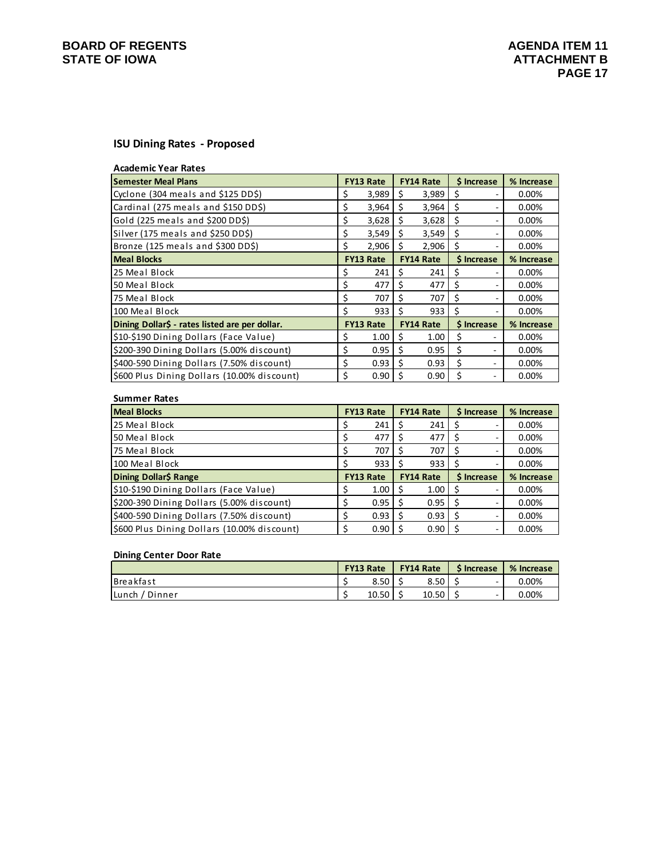# **BOARD OF REGENTS**<br> **BOARD OF REGENTS**<br> **BOARD OF IOWA**<br> **ATTACHMENT B**

### **ISU Dining Rates ‐ Proposed**

| <b>Academic Year Rates</b>                     |    |                  |     |                  |    |                   |            |
|------------------------------------------------|----|------------------|-----|------------------|----|-------------------|------------|
| <b>Semester Meal Plans</b>                     |    | <b>FY13 Rate</b> |     | <b>FY14 Rate</b> |    | <b>S</b> Increase | % Increase |
| Cyclone (304 meals and \$125 DD\$)             | Ş  | 3,989            | S   | 3,989            | \$ |                   | $0.00\%$   |
| Cardinal (275 meals and \$150 DD\$)            | \$ | 3,964            | Ś   | 3,964            | \$ | ۰                 | $0.00\%$   |
| Gold (225 meals and \$200 DD\$)                | \$ | 3,628            | \$  | 3,628            | \$ | ۰                 | 0.00%      |
| Silver (175 meals and \$250 DD\$)              | \$ | 3,549            | \$  | 3,549            | \$ |                   | $0.00\%$   |
| Bronze (125 meals and \$300 DD\$)              | \$ | 2,906            | Ŝ.  | 2,906            | \$ |                   | $0.00\%$   |
| <b>Meal Blocks</b>                             |    | <b>FY13 Rate</b> |     | <b>FY14 Rate</b> |    | \$ Increase       | % Increase |
| 25 Meal Block                                  | S  | 241              | S   | 241              | \$ |                   | $0.00\%$   |
| 50 Meal Block                                  | \$ | 477              | S   | 477              | \$ | ۰                 | $0.00\%$   |
| 75 Meal Block                                  | \$ | 707              | \$  | 707              | \$ | ۰                 | 0.00%      |
| 100 Meal Block                                 | Ś  | 933              | \$  | 933              | Ś. |                   | 0.00%      |
| Dining Dollar\$ - rates listed are per dollar. |    | <b>FY13 Rate</b> |     | <b>FY14 Rate</b> |    | \$ Increase       | % Increase |
| \$10-\$190 Dining Dollars (Face Value)         | \$ | 1.00             | \$  | 1.00             | \$ |                   | $0.00\%$   |
| \$200-390 Dining Dollars (5.00% discount)      | \$ | 0.95             | \$  | 0.95             | \$ |                   | $0.00\%$   |
| \$400-590 Dining Dollars (7.50% discount)      | \$ | 0.93             | \$. | 0.93             | Ś  |                   | $0.00\%$   |
| \$600 Plus Dining Dollars (10.00% discount)    | Ś  | 0.90             | S   | 0.90             | Ś  |                   | 0.00%      |

#### **Summer Rates**

| <b>Meal Blocks</b>                        | <b>FY13 Rate</b> | <b>FY14 Rate</b> | \$ Increase | % Increase |
|-------------------------------------------|------------------|------------------|-------------|------------|
| 25 Meal Block                             | 241              | 241              |             | 0.00%      |
| 50 Meal Block                             | 477              | 477              | S           | 0.00%      |
| 175 Meal Block                            | 707              | 707              | S           | 0.00%      |
| 100 Meal Block                            | 933 L            | 933              |             | 0.00%      |
|                                           |                  |                  |             |            |
| Dining Dollar\$ Range                     | <b>FY13 Rate</b> | <b>FY14 Rate</b> | \$ Increase | % Increase |
| \$10-\$190 Dining Dollars (Face Value)    | $1.00$   \$      | 1.00             | S           | 0.00%      |
| \$200-390 Dining Dollars (5.00% discount) | $0.95$ S         | 0.95             |             | 0.00%      |
| \$400-590 Dining Dollars (7.50% discount) | $0.93$ S         | 0.93             |             | 0.00%      |

#### **Dining Center Door Rate**

|                  | <b>FY13 Rate</b> | <b>FY14 Rate</b> |   | <b>S</b> Increase | % Increase |
|------------------|------------------|------------------|---|-------------------|------------|
| <b>Breakfast</b> | 8.50             | 8.50             |   | -                 | $0.00\%$   |
| Lunch / Dinner   | 10.50            | 10.50            | ٠ | -                 | $0.00\%$   |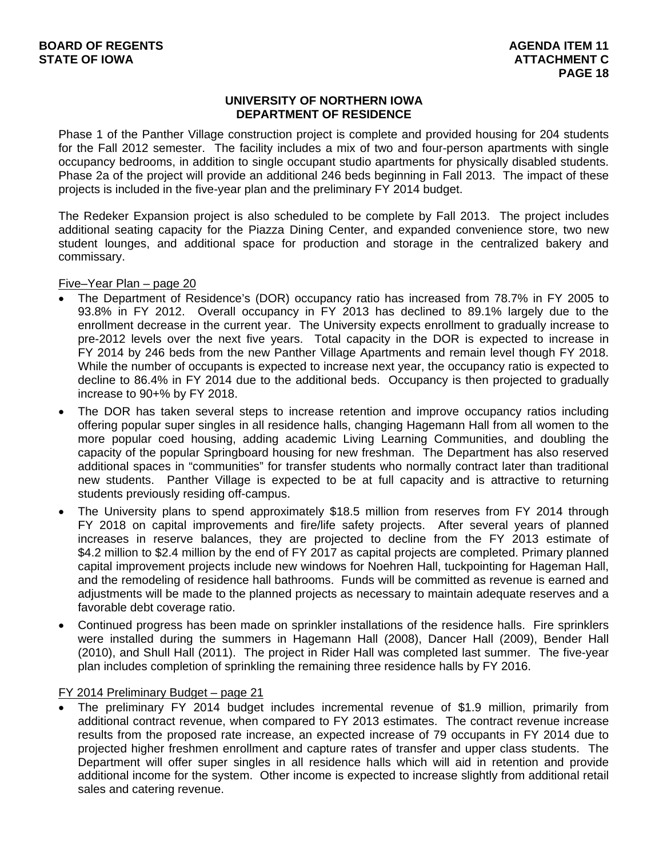### **UNIVERSITY OF NORTHERN IOWA DEPARTMENT OF RESIDENCE**

Phase 1 of the Panther Village construction project is complete and provided housing for 204 students for the Fall 2012 semester. The facility includes a mix of two and four-person apartments with single occupancy bedrooms, in addition to single occupant studio apartments for physically disabled students. Phase 2a of the project will provide an additional 246 beds beginning in Fall 2013. The impact of these projects is included in the five-year plan and the preliminary FY 2014 budget.

The Redeker Expansion project is also scheduled to be complete by Fall 2013. The project includes additional seating capacity for the Piazza Dining Center, and expanded convenience store, two new student lounges, and additional space for production and storage in the centralized bakery and commissary.

Five–Year Plan – page 20

- The Department of Residence's (DOR) occupancy ratio has increased from 78.7% in FY 2005 to 93.8% in FY 2012. Overall occupancy in FY 2013 has declined to 89.1% largely due to the enrollment decrease in the current year. The University expects enrollment to gradually increase to pre-2012 levels over the next five years. Total capacity in the DOR is expected to increase in FY 2014 by 246 beds from the new Panther Village Apartments and remain level though FY 2018. While the number of occupants is expected to increase next year, the occupancy ratio is expected to decline to 86.4% in FY 2014 due to the additional beds. Occupancy is then projected to gradually increase to 90+% by FY 2018.
- The DOR has taken several steps to increase retention and improve occupancy ratios including offering popular super singles in all residence halls, changing Hagemann Hall from all women to the more popular coed housing, adding academic Living Learning Communities, and doubling the capacity of the popular Springboard housing for new freshman. The Department has also reserved additional spaces in "communities" for transfer students who normally contract later than traditional new students. Panther Village is expected to be at full capacity and is attractive to returning students previously residing off-campus.
- The University plans to spend approximately \$18.5 million from reserves from FY 2014 through FY 2018 on capital improvements and fire/life safety projects. After several years of planned increases in reserve balances, they are projected to decline from the FY 2013 estimate of \$4.2 million to \$2.4 million by the end of FY 2017 as capital projects are completed. Primary planned capital improvement projects include new windows for Noehren Hall, tuckpointing for Hageman Hall, and the remodeling of residence hall bathrooms. Funds will be committed as revenue is earned and adjustments will be made to the planned projects as necessary to maintain adequate reserves and a favorable debt coverage ratio.
- Continued progress has been made on sprinkler installations of the residence halls. Fire sprinklers were installed during the summers in Hagemann Hall (2008), Dancer Hall (2009), Bender Hall (2010), and Shull Hall (2011). The project in Rider Hall was completed last summer. The five-year plan includes completion of sprinkling the remaining three residence halls by FY 2016.

### FY 2014 Preliminary Budget – page 21

 The preliminary FY 2014 budget includes incremental revenue of \$1.9 million, primarily from additional contract revenue, when compared to FY 2013 estimates. The contract revenue increase results from the proposed rate increase, an expected increase of 79 occupants in FY 2014 due to projected higher freshmen enrollment and capture rates of transfer and upper class students. The Department will offer super singles in all residence halls which will aid in retention and provide additional income for the system. Other income is expected to increase slightly from additional retail sales and catering revenue.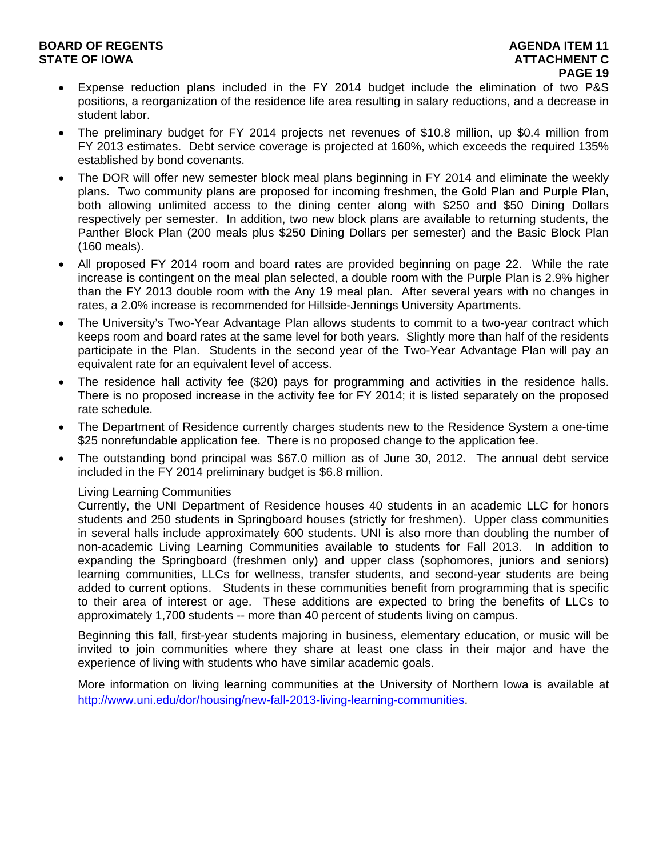### **BOARD OF REGENTS AGENERY AGENERY AGENERY AGENERY AGENERY AGENERY AGENERY AGENERY AGENERY AGENERY AGENERY AGENERY STATE OF IOWA ATTACHMENT C**  $\blacksquare$

- Expense reduction plans included in the FY 2014 budget include the elimination of two P&S positions, a reorganization of the residence life area resulting in salary reductions, and a decrease in student labor.
- The preliminary budget for FY 2014 projects net revenues of \$10.8 million, up \$0.4 million from FY 2013 estimates. Debt service coverage is projected at 160%, which exceeds the required 135% established by bond covenants.
- The DOR will offer new semester block meal plans beginning in FY 2014 and eliminate the weekly plans. Two community plans are proposed for incoming freshmen, the Gold Plan and Purple Plan, both allowing unlimited access to the dining center along with \$250 and \$50 Dining Dollars respectively per semester. In addition, two new block plans are available to returning students, the Panther Block Plan (200 meals plus \$250 Dining Dollars per semester) and the Basic Block Plan (160 meals).
- All proposed FY 2014 room and board rates are provided beginning on page 22. While the rate increase is contingent on the meal plan selected, a double room with the Purple Plan is 2.9% higher than the FY 2013 double room with the Any 19 meal plan. After several years with no changes in rates, a 2.0% increase is recommended for Hillside-Jennings University Apartments.
- The University's Two-Year Advantage Plan allows students to commit to a two-year contract which keeps room and board rates at the same level for both years. Slightly more than half of the residents participate in the Plan. Students in the second year of the Two-Year Advantage Plan will pay an equivalent rate for an equivalent level of access.
- The residence hall activity fee (\$20) pays for programming and activities in the residence halls. There is no proposed increase in the activity fee for FY 2014; it is listed separately on the proposed rate schedule.
- The Department of Residence currently charges students new to the Residence System a one-time \$25 nonrefundable application fee. There is no proposed change to the application fee.
- The outstanding bond principal was \$67.0 million as of June 30, 2012. The annual debt service included in the FY 2014 preliminary budget is \$6.8 million.

### Living Learning Communities

Currently, the UNI Department of Residence houses 40 students in an academic LLC for honors students and 250 students in Springboard houses (strictly for freshmen). Upper class communities in several halls include approximately 600 students. UNI is also more than doubling the number of non-academic Living Learning Communities available to students for Fall 2013. In addition to expanding the Springboard (freshmen only) and upper class (sophomores, juniors and seniors) learning communities, LLCs for wellness, transfer students, and second-year students are being added to current options. Students in these communities benefit from programming that is specific to their area of interest or age. These additions are expected to bring the benefits of LLCs to approximately 1,700 students -- more than 40 percent of students living on campus.

Beginning this fall, first-year students majoring in business, elementary education, or music will be invited to join communities where they share at least one class in their major and have the experience of living with students who have similar academic goals.

More information on living learning communities at the University of Northern Iowa is available at http://www.uni.edu/dor/housing/new-fall-2013-living-learning-communities.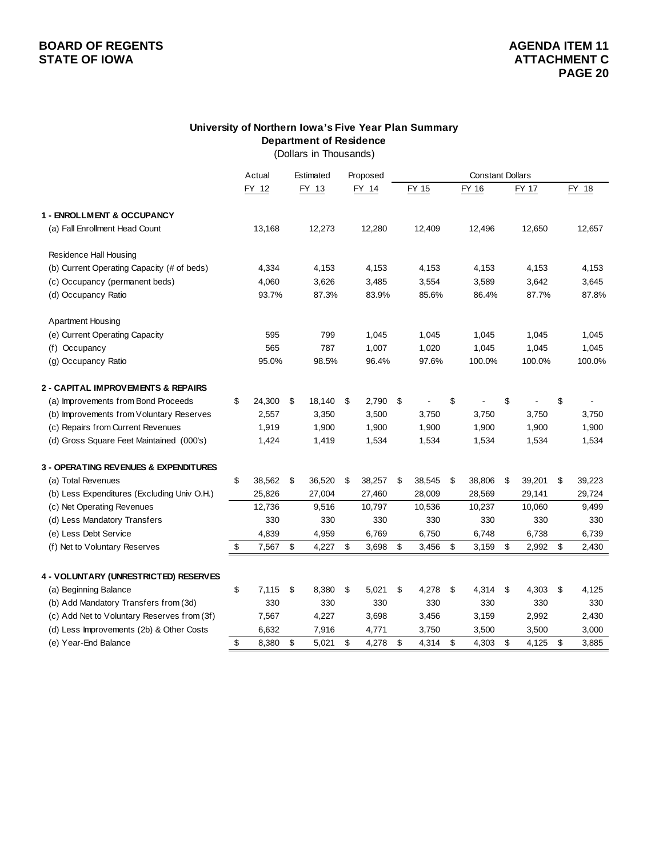# **BOARD OF REGENTS**<br> **BOARD OF REGENTS**<br> **BOARD OF IOWA**<br> **ATTACHMENT C**

### **University of Northern Iowa's Five Year Plan Summary Department of Residence**

(Dollars in Thousands)

|                                               | Actual       | Estimated    | Proposed     |              | <b>Constant Dollars</b> |              |              |
|-----------------------------------------------|--------------|--------------|--------------|--------------|-------------------------|--------------|--------------|
|                                               | FY 12        | FY 13        | FY 14        | FY 15        | <b>FY 16</b>            | FY 17        | FY 18        |
| 1 - ENROLLMENT & OCCUPANCY                    |              |              |              |              |                         |              |              |
| (a) Fall Enrollment Head Count                | 13,168       | 12,273       | 12,280       | 12,409       | 12,496                  | 12,650       | 12,657       |
| <b>Residence Hall Housing</b>                 |              |              |              |              |                         |              |              |
| (b) Current Operating Capacity (# of beds)    | 4,334        | 4,153        | 4,153        | 4,153        | 4,153                   | 4,153        | 4,153        |
| (c) Occupancy (permanent beds)                | 4,060        | 3,626        | 3,485        | 3,554        | 3,589                   | 3,642        | 3,645        |
| (d) Occupancy Ratio                           | 93.7%        | 87.3%        | 83.9%        | 85.6%        | 86.4%                   | 87.7%        | 87.8%        |
| <b>Apartment Housing</b>                      |              |              |              |              |                         |              |              |
| (e) Current Operating Capacity                | 595          | 799          | 1,045        | 1,045        | 1,045                   | 1,045        | 1,045        |
| (f) Occupancy                                 | 565          | 787          | 1,007        | 1,020        | 1,045                   | 1,045        | 1,045        |
| (g) Occupancy Ratio                           | 95.0%        | 98.5%        | 96.4%        | 97.6%        | 100.0%                  | 100.0%       | 100.0%       |
| <b>2 - CAPITAL IMPROVEMENTS &amp; REPAIRS</b> |              |              |              |              |                         |              |              |
| (a) Improvements from Bond Proceeds           | \$<br>24,300 | \$<br>18,140 | \$<br>2,790  | \$           | \$                      | \$           | \$           |
| (b) Improvements from Voluntary Reserves      | 2,557        | 3,350        | 3,500        | 3,750        | 3,750                   | 3,750        | 3,750        |
| (c) Repairs from Current Revenues             | 1,919        | 1,900        | 1,900        | 1,900        | 1,900                   | 1,900        | 1,900        |
| (d) Gross Square Feet Maintained (000's)      | 1,424        | 1,419        | 1,534        | 1,534        | 1,534                   | 1,534        | 1,534        |
| 3 - OPERATING REVENUES & EXPENDITURES         |              |              |              |              |                         |              |              |
| (a) Total Revenues                            | \$<br>38,562 | \$<br>36,520 | \$<br>38,257 | \$<br>38,545 | \$<br>38,806            | \$<br>39,201 | \$<br>39,223 |
| (b) Less Expenditures (Excluding Univ O.H.)   | 25,826       | 27,004       | 27,460       | 28,009       | 28,569                  | 29,141       | 29,724       |
| (c) Net Operating Revenues                    | 12,736       | 9,516        | 10,797       | 10,536       | 10,237                  | 10,060       | 9,499        |
| (d) Less Mandatory Transfers                  | 330          | 330          | 330          | 330          | 330                     | 330          | 330          |
| (e) Less Debt Service                         | 4,839        | 4,959        | 6,769        | 6,750        | 6,748                   | 6,738        | 6,739        |
| (f) Net to Voluntary Reserves                 | \$<br>7,567  | \$<br>4,227  | \$<br>3,698  | \$<br>3,456  | \$<br>3,159             | \$<br>2,992  | \$<br>2,430  |
| 4 - VOLUNTARY (UNRESTRICTED) RESERVES         |              |              |              |              |                         |              |              |
| (a) Beginning Balance                         | \$<br>7,115  | \$<br>8,380  | \$<br>5,021  | \$<br>4,278  | \$<br>4,314             | \$<br>4,303  | \$<br>4,125  |
| (b) Add Mandatory Transfers from (3d)         | 330          | 330          | 330          | 330          | 330                     | 330          | 330          |
| (c) Add Net to Voluntary Reserves from (3f)   | 7,567        | 4,227        | 3,698        | 3,456        | 3,159                   | 2,992        | 2,430        |
| (d) Less Improvements (2b) & Other Costs      | 6,632        | 7,916        | 4,771        | 3,750        | 3,500                   | 3,500        | 3,000        |
| (e) Year-End Balance                          | \$<br>8,380  | \$<br>5,021  | \$<br>4,278  | \$<br>4,314  | \$<br>4,303             | \$<br>4,125  | \$<br>3,885  |
|                                               |              |              |              |              |                         |              |              |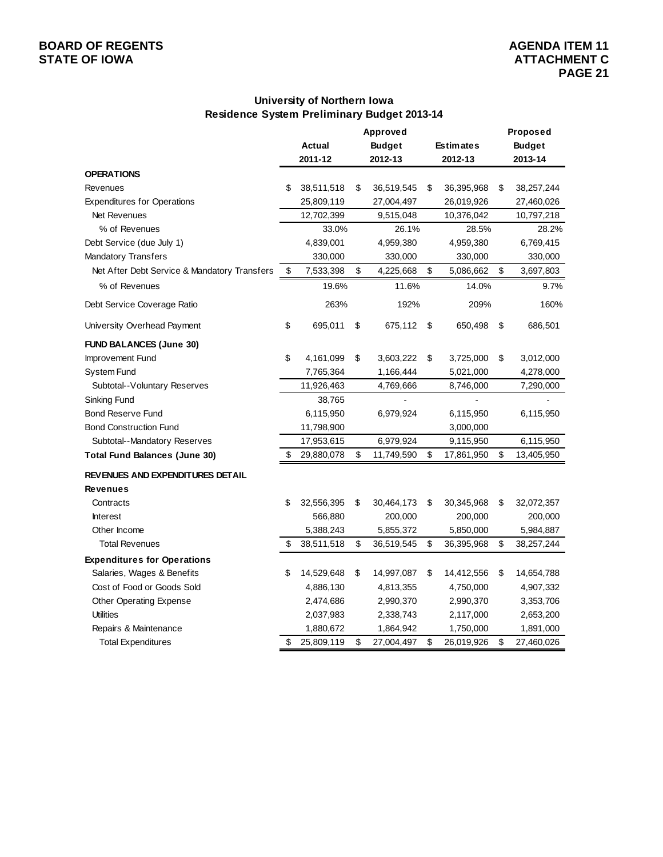# **BOARD OF REGENTS**<br> **BOARD OF REGENTS**<br> **BOARD OF IOWA**<br> **ATTACHMENT C**

### **University of Northern Iowa Residence System Preliminary Budget 2013-14**

|                                              |                  | Approved         |                  | Proposed         |
|----------------------------------------------|------------------|------------------|------------------|------------------|
|                                              | Actual           | <b>Budget</b>    | <b>Estimates</b> | <b>Budget</b>    |
|                                              | 2011-12          | 2012-13          | 2012-13          | 2013-14          |
| <b>OPERATIONS</b>                            |                  |                  |                  |                  |
| Revenues                                     | \$<br>38,511,518 | \$<br>36,519,545 | \$<br>36,395,968 | \$<br>38,257,244 |
| <b>Expenditures for Operations</b>           | 25,809,119       | 27,004,497       | 26,019,926       | 27,460,026       |
| Net Revenues                                 | 12,702,399       | 9,515,048        | 10,376,042       | 10,797,218       |
| % of Revenues                                | 33.0%            | 26.1%            | 28.5%            | 28.2%            |
| Debt Service (due July 1)                    | 4,839,001        | 4,959,380        | 4,959,380        | 6,769,415        |
| <b>Mandatory Transfers</b>                   | 330,000          | 330,000          | 330,000          | 330,000          |
| Net After Debt Service & Mandatory Transfers | \$<br>7,533,398  | \$<br>4,225,668  | \$<br>5,086,662  | \$<br>3,697,803  |
| % of Revenues                                | 19.6%            | 11.6%            | 14.0%            | 9.7%             |
| Debt Service Coverage Ratio                  | 263%             | 192%             | 209%             | 160%             |
| University Overhead Payment                  | \$<br>695,011    | \$<br>675,112    | \$<br>650,498    | \$<br>686,501    |
| <b>FUND BALANCES (June 30)</b>               |                  |                  |                  |                  |
| Improvement Fund                             | \$<br>4,161,099  | \$<br>3,603,222  | \$<br>3,725,000  | \$<br>3,012,000  |
| <b>System Fund</b>                           | 7,765,364        | 1,166,444        | 5,021,000        | 4,278,000        |
| Subtotal--Voluntary Reserves                 | 11,926,463       | 4,769,666        | 8,746,000        | 7,290,000        |
| Sinking Fund                                 | 38,765           |                  |                  |                  |
| <b>Bond Reserve Fund</b>                     | 6,115,950        | 6,979,924        | 6,115,950        | 6,115,950        |
| <b>Bond Construction Fund</b>                | 11,798,900       |                  | 3,000,000        |                  |
| Subtotal--Mandatory Reserves                 | 17,953,615       | 6,979,924        | 9,115,950        | 6,115,950        |
| <b>Total Fund Balances (June 30)</b>         | \$<br>29,880,078 | \$<br>11,749,590 | \$<br>17,861,950 | \$<br>13,405,950 |
| <b>REVENUES AND EXPENDITURES DETAIL</b>      |                  |                  |                  |                  |
| <b>Revenues</b>                              |                  |                  |                  |                  |
| Contracts                                    | \$<br>32,556,395 | \$<br>30,464,173 | \$<br>30,345,968 | \$<br>32,072,357 |
| <b>Interest</b>                              | 566,880          | 200,000          | 200,000          | 200,000          |
| Other Income                                 | 5,388,243        | 5,855,372        | 5,850,000        | 5,984,887        |
| <b>Total Revenues</b>                        | \$<br>38,511,518 | \$<br>36,519,545 | \$<br>36,395,968 | \$<br>38,257,244 |
| <b>Expenditures for Operations</b>           |                  |                  |                  |                  |
| Salaries, Wages & Benefits                   | \$<br>14,529,648 | \$<br>14,997,087 | \$<br>14,412,556 | \$<br>14,654,788 |
| Cost of Food or Goods Sold                   | 4,886,130        | 4,813,355        | 4,750,000        | 4,907,332        |
| Other Operating Expense                      | 2,474,686        | 2,990,370        | 2,990,370        | 3,353,706        |
| <b>Utilities</b>                             | 2,037,983        | 2,338,743        | 2,117,000        | 2,653,200        |
| Repairs & Maintenance                        | 1,880,672        | 1,864,942        | 1,750,000        | 1,891,000        |
| <b>Total Expenditures</b>                    | \$<br>25,809,119 | \$<br>27,004,497 | \$<br>26,019,926 | \$<br>27,460,026 |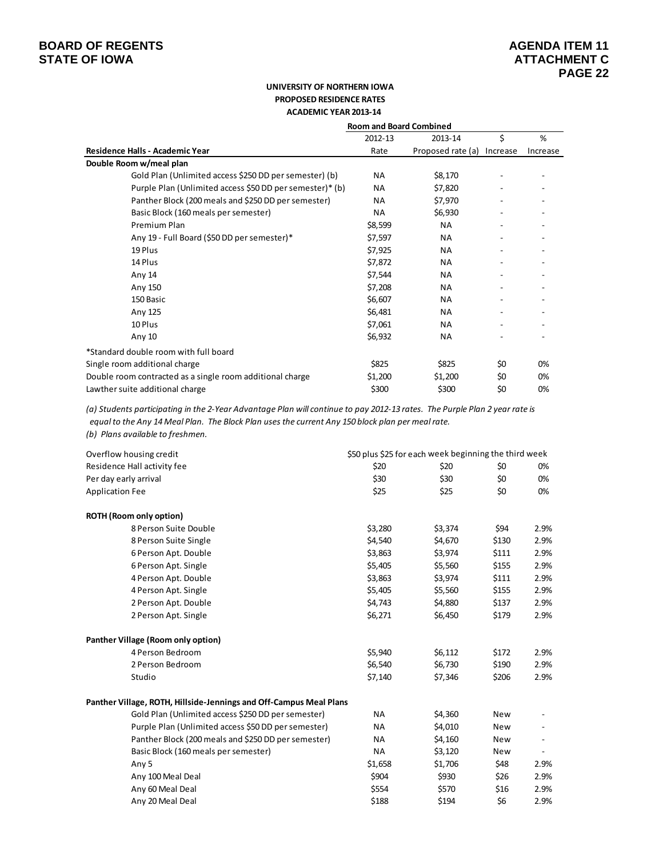#### **UNIVERSITY OF NORTHERN IOWA PROPOSED RESIDENCE RATES ACADEMIC YEAR 2013‐14**

|                                                           | <b>Room and Board Combined</b> |                   |          |          |
|-----------------------------------------------------------|--------------------------------|-------------------|----------|----------|
|                                                           | 2012-13                        | 2013-14           | \$       | %        |
| Residence Halls - Academic Year                           | Rate                           | Proposed rate (a) | Increase | Increase |
| Double Room w/meal plan                                   |                                |                   |          |          |
| Gold Plan (Unlimited access \$250 DD per semester) (b)    | <b>NA</b>                      | \$8,170           |          |          |
| Purple Plan (Unlimited access \$50 DD per semester)* (b)  | <b>NA</b>                      | \$7,820           |          |          |
| Panther Block (200 meals and \$250 DD per semester)       | <b>NA</b>                      | \$7,970           |          |          |
| Basic Block (160 meals per semester)                      | <b>NA</b>                      | \$6,930           |          |          |
| Premium Plan                                              | \$8,599                        | <b>NA</b>         |          |          |
| Any 19 - Full Board (\$50 DD per semester)*               | \$7,597                        | <b>NA</b>         |          |          |
| 19 Plus                                                   | \$7,925                        | <b>NA</b>         |          |          |
| 14 Plus                                                   | \$7,872                        | <b>NA</b>         |          |          |
| Any 14                                                    | \$7,544                        | <b>NA</b>         |          |          |
| Any 150                                                   | \$7,208                        | <b>NA</b>         |          |          |
| 150 Basic                                                 | \$6,607                        | <b>NA</b>         |          |          |
| Any 125                                                   | \$6,481                        | <b>NA</b>         |          |          |
| 10 Plus                                                   | \$7,061                        | <b>NA</b>         |          |          |
| Any 10                                                    | \$6,932                        | <b>NA</b>         |          |          |
| *Standard double room with full board                     |                                |                   |          |          |
| Single room additional charge                             | \$825                          | \$825             | \$0      | 0%       |
| Double room contracted as a single room additional charge | \$1,200                        | \$1,200           | \$0      | 0%       |
| Lawther suite additional charge                           | \$300                          | \$300             | \$0      | 0%       |

(a) Students participating in the 2-Year Advantage Plan will continue to pay 2012-13 rates. The Purple Plan 2 year rate is equal to the Any 14 Meal Plan. The Block Plan uses the current Any 150 block plan per meal rate. *(b) Plans available to freshmen.*

| Overflow housing credit                                            | \$50 plus \$25 for each week beginning the third week |         |            |                          |  |
|--------------------------------------------------------------------|-------------------------------------------------------|---------|------------|--------------------------|--|
| Residence Hall activity fee                                        | \$20                                                  | \$20    | \$0        | 0%                       |  |
| Per day early arrival                                              | \$30                                                  | \$30    | \$0        | 0%                       |  |
| <b>Application Fee</b>                                             | \$25                                                  | \$25    | \$0        | 0%                       |  |
| <b>ROTH (Room only option)</b>                                     |                                                       |         |            |                          |  |
| 8 Person Suite Double                                              | \$3,280                                               | \$3,374 | \$94       | 2.9%                     |  |
| 8 Person Suite Single                                              | \$4,540                                               | \$4,670 | \$130      | 2.9%                     |  |
| 6 Person Apt. Double                                               | \$3,863                                               | \$3,974 | \$111      | 2.9%                     |  |
| 6 Person Apt. Single                                               | \$5,405                                               | \$5,560 | \$155      | 2.9%                     |  |
| 4 Person Apt. Double                                               | \$3,863                                               | \$3,974 | \$111      | 2.9%                     |  |
| 4 Person Apt. Single                                               | \$5,405                                               | \$5,560 | \$155      | 2.9%                     |  |
| 2 Person Apt. Double                                               | \$4,743                                               | \$4,880 | \$137      | 2.9%                     |  |
| 2 Person Apt. Single                                               | \$6,271                                               | \$6,450 | \$179      | 2.9%                     |  |
| Panther Village (Room only option)                                 |                                                       |         |            |                          |  |
| 4 Person Bedroom                                                   | \$5,940                                               | \$6,112 | \$172      | 2.9%                     |  |
| 2 Person Bedroom                                                   | \$6,540                                               | \$6,730 | \$190      | 2.9%                     |  |
| Studio                                                             | \$7,140                                               | \$7,346 | \$206      | 2.9%                     |  |
| Panther Village, ROTH, Hillside-Jennings and Off-Campus Meal Plans |                                                       |         |            |                          |  |
| Gold Plan (Unlimited access \$250 DD per semester)                 | <b>NA</b>                                             | \$4,360 | <b>New</b> |                          |  |
| Purple Plan (Unlimited access \$50 DD per semester)                | <b>NA</b>                                             | \$4,010 | <b>New</b> |                          |  |
| Panther Block (200 meals and \$250 DD per semester)                | <b>NA</b>                                             | \$4,160 | <b>New</b> | $\overline{\phantom{0}}$ |  |
| Basic Block (160 meals per semester)                               | <b>NA</b>                                             | \$3,120 | New        |                          |  |
| Any 5                                                              | \$1,658                                               | \$1,706 | \$48       | 2.9%                     |  |
| Any 100 Meal Deal                                                  | \$904                                                 | \$930   | \$26       | 2.9%                     |  |
| Any 60 Meal Deal                                                   | \$554                                                 | \$570   | \$16       | 2.9%                     |  |
| Any 20 Meal Deal                                                   | \$188                                                 | \$194   | \$6        | 2.9%                     |  |
|                                                                    |                                                       |         |            |                          |  |